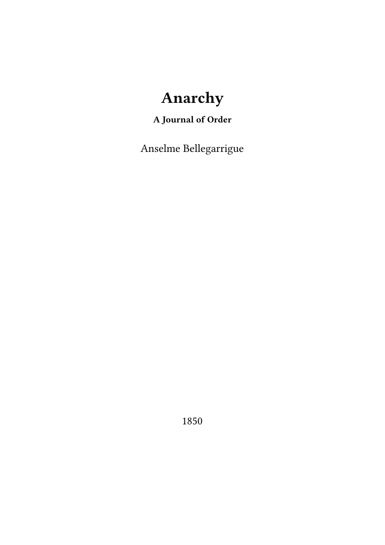# **Anarchy**

### **A Journal of Order**

Anselme Bellegarrigue

1850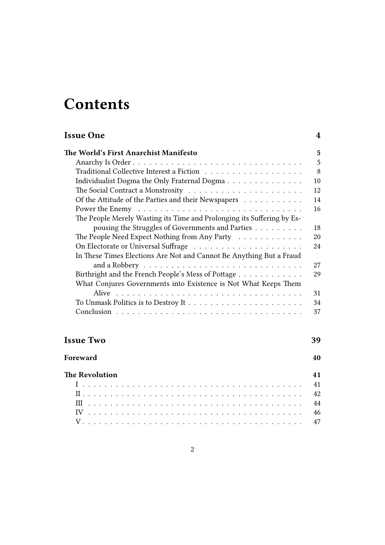## **Contents**

| The World's First Anarchist Manifesto<br>5<br>5<br>8<br>Individualist Dogma the Only Fraternal Dogma<br>10<br>12<br>Of the Attitude of the Parties and their Newspapers<br>The People Merely Wasting its Time and Prolonging its Suffering by Es-<br>pousing the Struggles of Governments and Parties<br>18<br>The People Need Expect Nothing from Any Party<br>20<br>24<br>In These Times Elections Are Not and Cannot Be Anything But a Fraud<br>27<br>Birthright and the French People's Mess of Pottage<br>29<br>What Conjures Governments into Existence is Not What Keeps Them<br>31<br>34<br>37<br><b>Issue Two</b><br>39<br>Foreward<br>40<br><b>The Revolution</b><br>41<br>41<br>42<br>44<br>46<br>47 | <b>Issue One</b> | 4  |
|-----------------------------------------------------------------------------------------------------------------------------------------------------------------------------------------------------------------------------------------------------------------------------------------------------------------------------------------------------------------------------------------------------------------------------------------------------------------------------------------------------------------------------------------------------------------------------------------------------------------------------------------------------------------------------------------------------------------|------------------|----|
|                                                                                                                                                                                                                                                                                                                                                                                                                                                                                                                                                                                                                                                                                                                 |                  |    |
|                                                                                                                                                                                                                                                                                                                                                                                                                                                                                                                                                                                                                                                                                                                 |                  |    |
|                                                                                                                                                                                                                                                                                                                                                                                                                                                                                                                                                                                                                                                                                                                 |                  |    |
|                                                                                                                                                                                                                                                                                                                                                                                                                                                                                                                                                                                                                                                                                                                 |                  |    |
|                                                                                                                                                                                                                                                                                                                                                                                                                                                                                                                                                                                                                                                                                                                 |                  |    |
|                                                                                                                                                                                                                                                                                                                                                                                                                                                                                                                                                                                                                                                                                                                 |                  | 14 |
|                                                                                                                                                                                                                                                                                                                                                                                                                                                                                                                                                                                                                                                                                                                 |                  | 16 |
|                                                                                                                                                                                                                                                                                                                                                                                                                                                                                                                                                                                                                                                                                                                 |                  |    |
|                                                                                                                                                                                                                                                                                                                                                                                                                                                                                                                                                                                                                                                                                                                 |                  |    |
|                                                                                                                                                                                                                                                                                                                                                                                                                                                                                                                                                                                                                                                                                                                 |                  |    |
|                                                                                                                                                                                                                                                                                                                                                                                                                                                                                                                                                                                                                                                                                                                 |                  |    |
|                                                                                                                                                                                                                                                                                                                                                                                                                                                                                                                                                                                                                                                                                                                 |                  |    |
|                                                                                                                                                                                                                                                                                                                                                                                                                                                                                                                                                                                                                                                                                                                 |                  |    |
|                                                                                                                                                                                                                                                                                                                                                                                                                                                                                                                                                                                                                                                                                                                 |                  |    |
|                                                                                                                                                                                                                                                                                                                                                                                                                                                                                                                                                                                                                                                                                                                 |                  |    |
|                                                                                                                                                                                                                                                                                                                                                                                                                                                                                                                                                                                                                                                                                                                 |                  |    |
|                                                                                                                                                                                                                                                                                                                                                                                                                                                                                                                                                                                                                                                                                                                 |                  |    |
|                                                                                                                                                                                                                                                                                                                                                                                                                                                                                                                                                                                                                                                                                                                 |                  |    |
|                                                                                                                                                                                                                                                                                                                                                                                                                                                                                                                                                                                                                                                                                                                 |                  |    |
|                                                                                                                                                                                                                                                                                                                                                                                                                                                                                                                                                                                                                                                                                                                 |                  |    |
|                                                                                                                                                                                                                                                                                                                                                                                                                                                                                                                                                                                                                                                                                                                 |                  |    |
|                                                                                                                                                                                                                                                                                                                                                                                                                                                                                                                                                                                                                                                                                                                 |                  |    |
|                                                                                                                                                                                                                                                                                                                                                                                                                                                                                                                                                                                                                                                                                                                 |                  |    |
|                                                                                                                                                                                                                                                                                                                                                                                                                                                                                                                                                                                                                                                                                                                 |                  |    |
|                                                                                                                                                                                                                                                                                                                                                                                                                                                                                                                                                                                                                                                                                                                 |                  |    |
|                                                                                                                                                                                                                                                                                                                                                                                                                                                                                                                                                                                                                                                                                                                 |                  |    |
|                                                                                                                                                                                                                                                                                                                                                                                                                                                                                                                                                                                                                                                                                                                 |                  |    |
|                                                                                                                                                                                                                                                                                                                                                                                                                                                                                                                                                                                                                                                                                                                 |                  |    |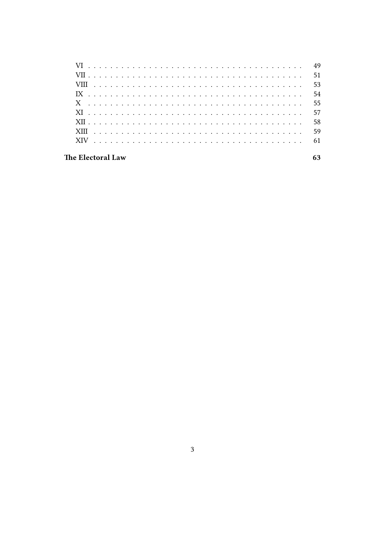| - Contract Andrea Andrea Andrea Andrea Andrea Andrea Andrea Andrea Andrea Andrea Andrea Andrea Andrea Andrea A |  |  |  |  |  |  |  |  |  |  |  |  |  |  |  |  |  |  |  |
|----------------------------------------------------------------------------------------------------------------|--|--|--|--|--|--|--|--|--|--|--|--|--|--|--|--|--|--|--|

The Electoral Law

63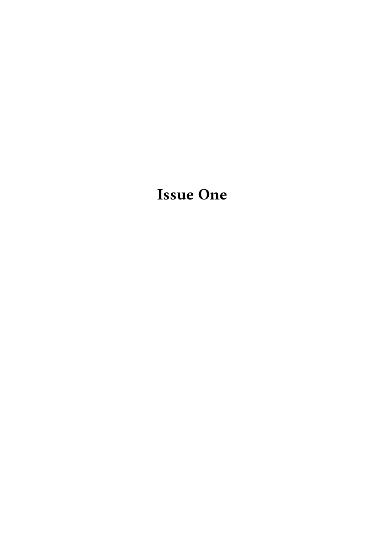# <span id="page-3-0"></span>**Issue One**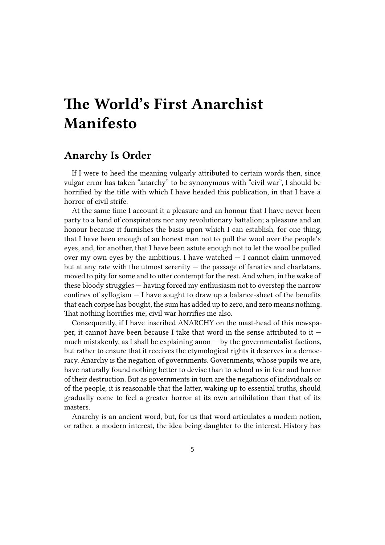# <span id="page-4-0"></span>**The World's First Anarchist Manifesto**

### <span id="page-4-1"></span>**Anarchy Is Order**

If I were to heed the meaning vulgarly attributed to certain words then, since vulgar error has taken "anarchy" to be synonymous with "civil war", I should be horrified by the title with which I have headed this publication, in that I have a horror of civil strife.

At the same time I account it a pleasure and an honour that I have never been party to a band of conspirators nor any revolutionary battalion; a pleasure and an honour because it furnishes the basis upon which I can establish, for one thing, that I have been enough of an honest man not to pull the wool over the people's eyes, and, for another, that I have been astute enough not to let the wool be pulled over my own eyes by the ambitious. I have watched  $-$  I cannot claim unmoved but at any rate with the utmost serenity  $-$  the passage of fanatics and charlatans, moved to pity for some and to utter contempt for the rest. And when, in the wake of these bloody struggles — having forced my enthusiasm not to overstep the narrow confines of syllogism  $-$  I have sought to draw up a balance-sheet of the benefits that each corpse has bought, the sum has added up to zero, and zero means nothing. That nothing horrifies me; civil war horrifies me also.

Consequently, if I have inscribed ANARCHY on the mast-head of this newspaper, it cannot have been because I take that word in the sense attributed to it much mistakenly, as I shall be explaining anon  $-$  by the governmentalist factions, but rather to ensure that it receives the etymological rights it deserves in a democracy. Anarchy is the negation of governments. Governments, whose pupils we are, have naturally found nothing better to devise than to school us in fear and horror of their destruction. But as governments in turn are the negations of individuals or of the people, it is reasonable that the latter, waking up to essential truths, should gradually come to feel a greater horror at its own annihilation than that of its masters.

Anarchy is an ancient word, but, for us that word articulates a modem notion, or rather, a modern interest, the idea being daughter to the interest. History has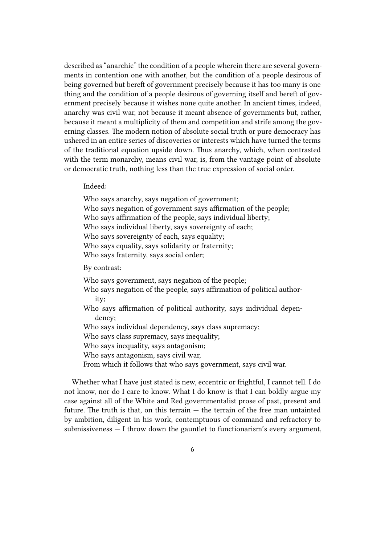described as "anarchic" the condition of a people wherein there are several governments in contention one with another, but the condition of a people desirous of being governed but bereft of government precisely because it has too many is one thing and the condition of a people desirous of governing itself and bereft of government precisely because it wishes none quite another. In ancient times, indeed, anarchy was civil war, not because it meant absence of governments but, rather, because it meant a multiplicity of them and competition and strife among the governing classes. The modern notion of absolute social truth or pure democracy has ushered in an entire series of discoveries or interests which have turned the terms of the traditional equation upside down. Thus anarchy, which, when contrasted with the term monarchy, means civil war, is, from the vantage point of absolute or democratic truth, nothing less than the true expression of social order.

Indeed:

Who says anarchy, says negation of government; Who says negation of government says affirmation of the people; Who says affirmation of the people, says individual liberty; Who says individual liberty, says sovereignty of each; Who says sovereignty of each, says equality; Who says equality, says solidarity or fraternity; Who says fraternity, says social order;

By contrast:

Who says government, says negation of the people;

- Who says negation of the people, says affirmation of political authority;
- Who says affirmation of political authority, says individual dependency;
- Who says individual dependency, says class supremacy;

Who says class supremacy, says inequality;

Who says inequality, says antagonism;

- Who says antagonism, says civil war,
- From which it follows that who says government, says civil war.

Whether what I have just stated is new, eccentric or frightful, I cannot tell. I do not know, nor do I care to know. What I do know is that I can boldly argue my case against all of the White and Red governmentalist prose of past, present and future. The truth is that, on this terrain  $-$  the terrain of the free man untainted by ambition, diligent in his work, contemptuous of command and refractory to submissiveness — I throw down the gauntlet to functionarism's every argument,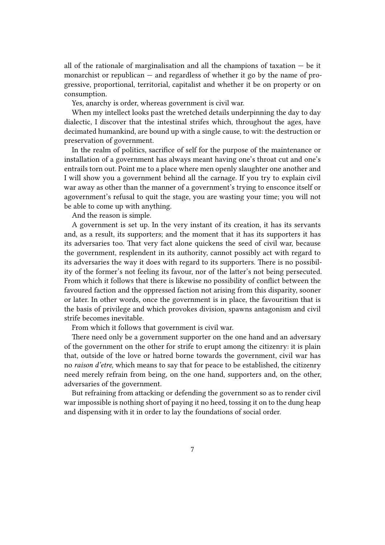all of the rationale of marginalisation and all the champions of taxation  $-$  be it monarchist or republican  $-$  and regardless of whether it go by the name of progressive, proportional, territorial, capitalist and whether it be on property or on consumption.

Yes, anarchy is order, whereas government is civil war.

When my intellect looks past the wretched details underpinning the day to day dialectic, I discover that the intestinal strifes which, throughout the ages, have decimated humankind, are bound up with a single cause, to wit: the destruction or preservation of government.

In the realm of politics, sacrifice of self for the purpose of the maintenance or installation of a government has always meant having one's throat cut and one's entrails torn out. Point me to a place where men openly slaughter one another and I will show you a government behind all the carnage. If you try to explain civil war away as other than the manner of a government's trying to ensconce itself or agovernment's refusal to quit the stage, you are wasting your time; you will not be able to come up with anything.

And the reason is simple.

A government is set up. In the very instant of its creation, it has its servants and, as a result, its supporters; and the moment that it has its supporters it has its adversaries too. That very fact alone quickens the seed of civil war, because the government, resplendent in its authority, cannot possibly act with regard to its adversaries the way it does with regard to its supporters. There is no possibility of the former's not feeling its favour, nor of the latter's not being persecuted. From which it follows that there is likewise no possibility of conflict between the favoured faction and the oppressed faction not arising from this disparity, sooner or later. In other words, once the government is in place, the favouritism that is the basis of privilege and which provokes division, spawns antagonism and civil strife becomes inevitable.

From which it follows that government is civil war.

There need only be a government supporter on the one hand and an adversary of the government on the other for strife to erupt among the citizenry: it is plain that, outside of the love or hatred borne towards the government, civil war has no *raison d'etre*, which means to say that for peace to be established, the citizenry need merely refrain from being, on the one hand, supporters and, on the other, adversaries of the government.

But refraining from attacking or defending the government so as to render civil war impossible is nothing short of paying it no heed, tossing it on to the dung heap and dispensing with it in order to lay the foundations of social order.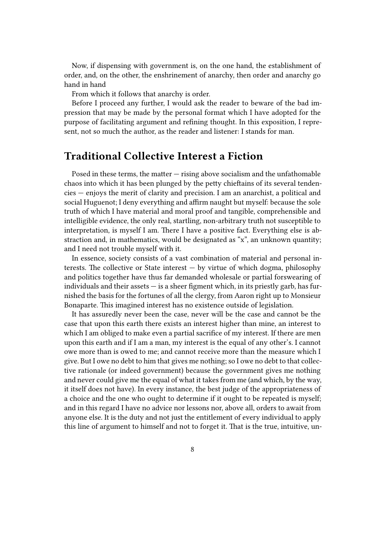Now, if dispensing with government is, on the one hand, the establishment of order, and, on the other, the enshrinement of anarchy, then order and anarchy go hand in hand

From which it follows that anarchy is order.

Before I proceed any further, I would ask the reader to beware of the bad impression that may be made by the personal format which I have adopted for the purpose of facilitating argument and refining thought. In this exposition, I represent, not so much the author, as the reader and listener: I stands for man.

### <span id="page-7-0"></span>**Traditional Collective Interest a Fiction**

Posed in these terms, the matter  $-$  rising above socialism and the unfathomable chaos into which it has been plunged by the petty chieftains of its several tendencies — enjoys the merit of clarity and precision. I am an anarchist, a political and social Huguenot; I deny everything and affirm naught but myself: because the sole truth of which I have material and moral proof and tangible, comprehensible and intelligible evidence, the only real, startling, non-arbitrary truth not susceptible to interpretation, is myself I am. There I have a positive fact. Everything else is abstraction and, in mathematics, would be designated as "x", an unknown quantity; and I need not trouble myself with it.

In essence, society consists of a vast combination of material and personal interests. The collective or State interest — by virtue of which dogma, philosophy and politics together have thus far demanded wholesale or partial forswearing of individuals and their assets  $-$  is a sheer figment which, in its priestly garb, has furnished the basis for the fortunes of all the clergy, from Aaron right up to Monsieur Bonaparte. This imagined interest has no existence outside of legislation.

It has assuredly never been the case, never will be the case and cannot be the case that upon this earth there exists an interest higher than mine, an interest to which I am obliged to make even a partial sacrifice of my interest. If there are men upon this earth and if I am a man, my interest is the equal of any other's. I cannot owe more than is owed to me; and cannot receive more than the measure which I give. But I owe no debt to him that gives me nothing; so I owe no debt to that collective rationale (or indeed government) because the government gives me nothing and never could give me the equal of what it takes from me (and which, by the way, it itself does not have). In every instance, the best judge of the appropriateness of a choice and the one who ought to determine if it ought to be repeated is myself; and in this regard I have no advice nor lessons nor, above all, orders to await from anyone else. It is the duty and not just the entitlement of every individual to apply this line of argument to himself and not to forget it. That is the true, intuitive, un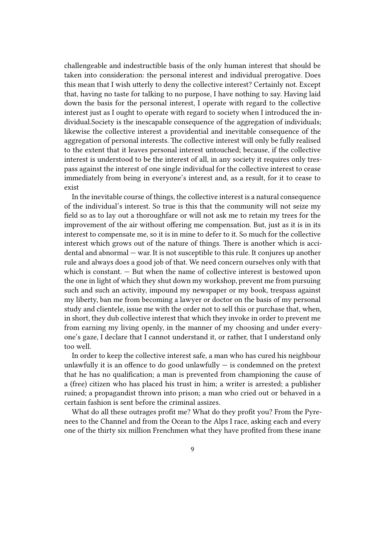challengeable and indestructible basis of the only human interest that should be taken into consideration: the personal interest and individual prerogative. Does this mean that I wish utterly to deny the collective interest? Certainly not. Except that, having no taste for talking to no purpose, I have nothing to say. Having laid down the basis for the personal interest, I operate with regard to the collective interest just as I ought to operate with regard to society when I introduced the individual.Society is the inescapable consequence of the aggregation of individuals; likewise the collective interest a providential and inevitable consequence of the aggregation of personal interests. The collective interest will only be fully realised to the extent that it leaves personal interest untouched; because, if the collective interest is understood to be the interest of all, in any society it requires only trespass against the interest of one single individual for the collective interest to cease immediately from being in everyone's interest and, as a result, for it to cease to exist

In the inevitable course of things, the collective interest is a natural consequence of the individual's interest. So true is this that the community will not seize my field so as to lay out a thoroughfare or will not ask me to retain my trees for the improvement of the air without offering me compensation. But, just as it is in its interest to compensate me, so it is in mine to defer to it. So much for the collective interest which grows out of the nature of things. There is another which is accidental and abnormal — war. It is not susceptible to this rule. It conjures up another rule and always does a good job of that. We need concern ourselves only with that which is constant. — But when the name of collective interest is bestowed upon the one in light of which they shut down my workshop, prevent me from pursuing such and such an activity, impound my newspaper or my book, trespass against my liberty, ban me from becoming a lawyer or doctor on the basis of my personal study and clientele, issue me with the order not to sell this or purchase that, when, in short, they dub collective interest that which they invoke in order to prevent me from earning my living openly, in the manner of my choosing and under everyone's gaze, I declare that I cannot understand it, or rather, that I understand only too well.

In order to keep the collective interest safe, a man who has cured his neighbour unlawfully it is an offence to do good unlawfully  $-$  is condemned on the pretext that he has no qualification; a man is prevented from championing the cause of a (free) citizen who has placed his trust in him; a writer is arrested; a publisher ruined; a propagandist thrown into prison; a man who cried out or behaved in a certain fashion is sent before the criminal assizes.

What do all these outrages profit me? What do they profit you? From the Pyrenees to the Channel and from the Ocean to the Alps I race, asking each and every one of the thirty six million Frenchmen what they have profited from these inane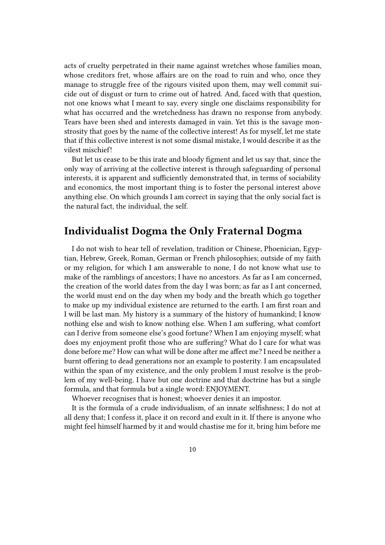acts of cruelty perpetrated in their name against wretches whose families moan, whose creditors fret, whose affairs are on the road to ruin and who, once they manage to struggle free of the rigours visited upon them, may well commit suicide out of disgust or turn to crime out of hatred. And, faced with that question, not one knows what I meant to say, every single one disclaims responsibility for what has occurred and the wretchedness has drawn no response from anybody. Tears have been shed and interests damaged in vain. Yet this is the savage monstrosity that goes by the name of the collective interest! As for myself, let me state that if this collective interest is not some dismal mistake, I would describe it as the vilest mischief!

But let us cease to be this irate and bloody figment and let us say that, since the only way of arriving at the collective interest is through safeguarding of personal interests, it is apparent and sufficiently demonstrated that, in terms of sociability and economics, the most important thing is to foster the personal interest above anything else. On which grounds I am correct in saying that the only social fact is the natural fact, the individual, the self.

### <span id="page-9-0"></span>**Individualist Dogma the Only Fraternal Dogma**

I do not wish to hear tell of revelation, tradition or Chinese, Phoenician, Egyptian, Hebrew, Greek, Roman, German or French philosophies; outside of my faith or my religion, for which I am answerable to none, I do not know what use to make of the ramblings of ancestors; I have no ancestors. As far as I am concerned, the creation of the world dates from the day I was born; as far as I ant concerned, the world must end on the day when my body and the breath which go together to make up my individual existence are returned to the earth. I am first roan and I will be last man. My history is a summary of the history of humankind; I know nothing else and wish to know nothing else. When I am suffering, what comfort can I derive from someone else's good fortune? When I am enjoying myself; what does my enjoyment profit those who are suffering? What do I care for what was done before me? How can what will be done after me affect me? I need be neither a burnt offering to dead generations nor an example to posterity. I am encapsulated within the span of my existence, and the only problem I must resolve is the problem of my well-being. I have but one doctrine and that doctrine has but a single formula, and that formula but a single word: ENJOYMENT.

Whoever recognises that is honest; whoever denies it an impostor.

It is the formula of a crude individualism, of an innate selfishness; I do not at all deny that; I confess it, place it on record and exult in it. If there is anyone who might feel himself harmed by it and would chastise me for it, bring him before me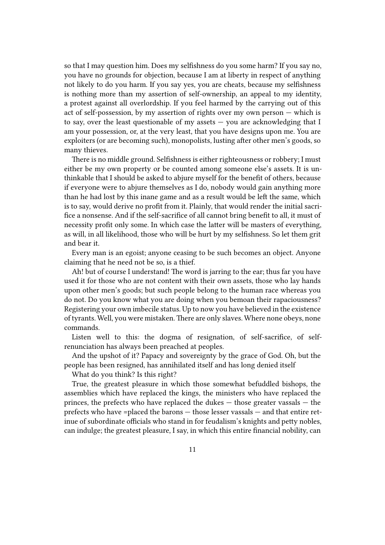so that I may question him. Does my selfishness do you some harm? If you say no, you have no grounds for objection, because I am at liberty in respect of anything not likely to do you harm. If you say yes, you are cheats, because my selfishness is nothing more than my assertion of self-ownership, an appeal to my identity, a protest against all overlordship. If you feel harmed by the carrying out of this act of self-possession, by my assertion of rights over my own person — which is to say, over the least questionable of my assets — you are acknowledging that I am your possession, or, at the very least, that you have designs upon me. You are exploiters (or are becoming such), monopolists, lusting after other men's goods, so many thieves.

There is no middle ground. Selfishness is either righteousness or robbery; I must either be my own property or be counted among someone else's assets. It is unthinkable that I should be asked to abjure myself for the benefit of others, because if everyone were to abjure themselves as I do, nobody would gain anything more than he had lost by this inane game and as a result would be left the same, which is to say, would derive no profit from it. Plainly, that would render the initial sacrifice a nonsense. And if the self-sacrifice of all cannot bring benefit to all, it must of necessity profit only some. In which case the latter will be masters of everything, as will, in all likelihood, those who will be hurt by my selfishness. So let them grit and bear it.

Every man is an egoist; anyone ceasing to be such becomes an object. Anyone claiming that he need not be so, is a thief.

Ah! but of course I understand! The word is jarring to the ear; thus far you have used it for those who are not content with their own assets, those who lay hands upon other men's goods; but such people belong to the human race whereas you do not. Do you know what you are doing when you bemoan their rapaciousness? Registering your own imbecile status. Up to now you have believed in the existence of tyrants. Well, you were mistaken.There are only slaves. Where none obeys, none commands.

Listen well to this: the dogma of resignation, of self-sacrifice, of selfrenunciation has always been preached at peoples.

And the upshot of it? Papacy and sovereignty by the grace of God. Oh, but the people has been resigned, has annihilated itself and has long denied itself

What do you think? Is this right?

True, the greatest pleasure in which those somewhat befuddled bishops, the assemblies which have replaced the kings, the ministers who have replaced the princes, the prefects who have replaced the dukes — those greater vassals — the prefects who have =placed the barons — those lesser vassals — and that entire retinue of subordinate officials who stand in for feudalism's knights and petty nobles, can indulge; the greatest pleasure, I say, in which this entire financial nobility, can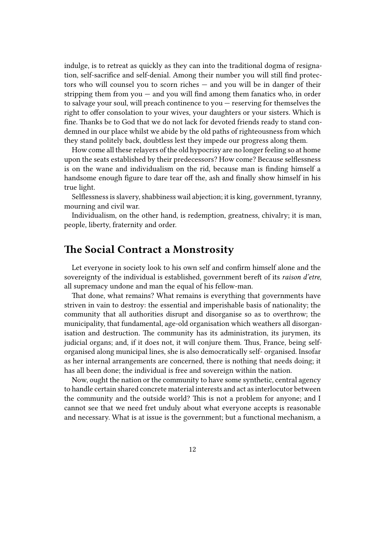indulge, is to retreat as quickly as they can into the traditional dogma of resignation, self-sacrifice and self-denial. Among their number you will still find protectors who will counsel you to scorn riches — and you will be in danger of their stripping them from you  $-$  and you will find among them fanatics who, in order to salvage your soul, will preach continence to you — reserving for themselves the right to offer consolation to your wives, your daughters or your sisters. Which is fine. Thanks be to God that we do not lack for devoted friends ready to stand condemned in our place whilst we abide by the old paths of righteousness from which they stand politely back, doubtless lest they impede our progress along them.

How come all these relayers of the old hypocrisy are no longer feeling so at home upon the seats established by their predecessors? How come? Because selflessness is on the wane and individualism on the rid, because man is finding himself a handsome enough figure to dare tear off the, ash and finally show himself in his true light.

Selflessness is slavery, shabbiness wail abjection; it is king, government, tyranny, mourning and civil war.

Individualism, on the other hand, is redemption, greatness, chivalry; it is man, people, liberty, fraternity and order.

### <span id="page-11-0"></span>**The Social Contract a Monstrosity**

Let everyone in society look to his own self and confirm himself alone and the sovereignty of the individual is established, government bereft of its *raison d'etre*, all supremacy undone and man the equal of his fellow-man.

That done, what remains? What remains is everything that governments have striven in vain to destroy: the essential and imperishable basis of nationality; the community that all authorities disrupt and disorganise so as to overthrow; the municipality, that fundamental, age-old organisation which weathers all disorganisation and destruction. The community has its administration, its jurymen, its judicial organs; and, if it does not, it will conjure them. Thus, France, being selforganised along municipal lines, she is also democratically self- organised. Insofar as her internal arrangements are concerned, there is nothing that needs doing; it has all been done; the individual is free and sovereign within the nation.

Now, ought the nation or the community to have some synthetic, central agency to handle certain shared concrete material interests and act as interlocutor between the community and the outside world? This is not a problem for anyone; and I cannot see that we need fret unduly about what everyone accepts is reasonable and necessary. What is at issue is the government; but a functional mechanism, a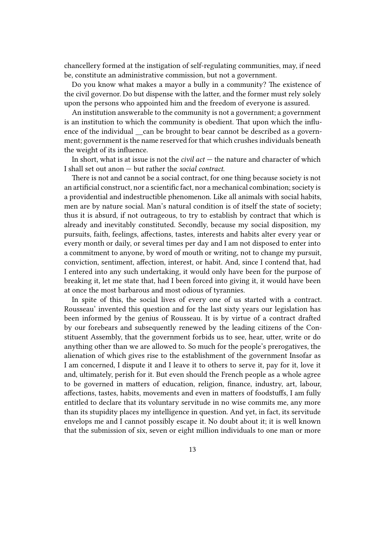chancellery formed at the instigation of self-regulating communities, may, if need be, constitute an administrative commission, but not a government.

Do you know what makes a mayor a bully in a community? The existence of the civil governor. Do but dispense with the latter, and the former must rely solely upon the persons who appointed him and the freedom of everyone is assured.

An institution answerable to the community is not a government; a government is an institution to which the community is obedient. That upon which the influence of the individual can be brought to bear cannot be described as a government; government is the name reserved for that which crushes individuals beneath the weight of its influence.

In short, what is at issue is not the *civil act* — the nature and character of which I shall set out anon — but rather the *social contract*.

There is not and cannot be a social contract, for one thing because society is not an artificial construct, nor a scientific fact, nor a mechanical combination; society is a providential and indestructible phenomenon. Like all animals with social habits, men are by nature social. Man's natural condition is of itself the state of society; thus it is absurd, if not outrageous, to try to establish by contract that which is already and inevitably constituted. Secondly, because my social disposition, my pursuits, faith, feelings, affections, tastes, interests and habits alter every year or every month or daily, or several times per day and I am not disposed to enter into a commitment to anyone, by word of mouth or writing, not to change my pursuit, conviction, sentiment, affection, interest, or habit. And, since I contend that, had I entered into any such undertaking, it would only have been for the purpose of breaking it, let me state that, had I been forced into giving it, it would have been at once the most barbarous and most odious of tyrannies.

In spite of this, the social lives of every one of us started with a contract. Rousseau' invented this question and for the last sixty years our legislation has been informed by the genius of Rousseau. It is by virtue of a contract drafted by our forebears and subsequently renewed by the leading citizens of the Constituent Assembly, that the government forbids us to see, hear, utter, write or do anything other than we are allowed to. So much for the people's prerogatives, the alienation of which gives rise to the establishment of the government Insofar as I am concerned, I dispute it and I leave it to others to serve it, pay for it, love it and, ultimately, perish for it. But even should the French people as a whole agree to be governed in matters of education, religion, finance, industry, art, labour, affections, tastes, habits, movements and even in matters of foodstuffs, I am fully entitled to declare that its voluntary servitude in no wise commits me, any more than its stupidity places my intelligence in question. And yet, in fact, its servitude envelops me and I cannot possibly escape it. No doubt about it; it is well known that the submission of six, seven or eight million individuals to one man or more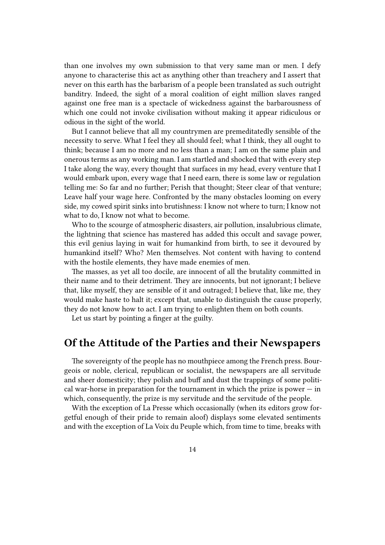than one involves my own submission to that very same man or men. I defy anyone to characterise this act as anything other than treachery and I assert that never on this earth has the barbarism of a people been translated as such outright banditry. Indeed, the sight of a moral coalition of eight million slaves ranged against one free man is a spectacle of wickedness against the barbarousness of which one could not invoke civilisation without making it appear ridiculous or odious in the sight of the world.

But I cannot believe that all my countrymen are premeditatedly sensible of the necessity to serve. What I feel they all should feel; what I think, they all ought to think; because I am no more and no less than a man; I am on the same plain and onerous terms as any working man. I am startled and shocked that with every step I take along the way, every thought that surfaces in my head, every venture that I would embark upon, every wage that I need earn, there is some law or regulation telling me: So far and no further; Perish that thought; Steer clear of that venture; Leave half your wage here. Confronted by the many obstacles looming on every side, my cowed spirit sinks into brutishness: I know not where to turn; I know not what to do, I know not what to become.

Who to the scourge of atmospheric disasters, air pollution, insalubrious climate, the lightning that science has mastered has added this occult and savage power, this evil genius laying in wait for humankind from birth, to see it devoured by humankind itself? Who? Men themselves. Not content with having to contend with the hostile elements, they have made enemies of men.

The masses, as yet all too docile, are innocent of all the brutality committed in their name and to their detriment. They are innocents, but not ignorant; I believe that, like myself, they are sensible of it and outraged; I believe that, like me, they would make haste to halt it; except that, unable to distinguish the cause properly, they do not know how to act. I am trying to enlighten them on both counts.

Let us start by pointing a finger at the guilty.

#### <span id="page-13-0"></span>**Of the Attitude of the Parties and their Newspapers**

The sovereignty of the people has no mouthpiece among the French press. Bourgeois or noble, clerical, republican or socialist, the newspapers are all servitude and sheer domesticity; they polish and buff and dust the trappings of some political war-horse in preparation for the tournament in which the prize is power  $-$  in which, consequently, the prize is my servitude and the servitude of the people.

With the exception of La Presse which occasionally (when its editors grow forgetful enough of their pride to remain aloof) displays some elevated sentiments and with the exception of La Voix du Peuple which, from time to time, breaks with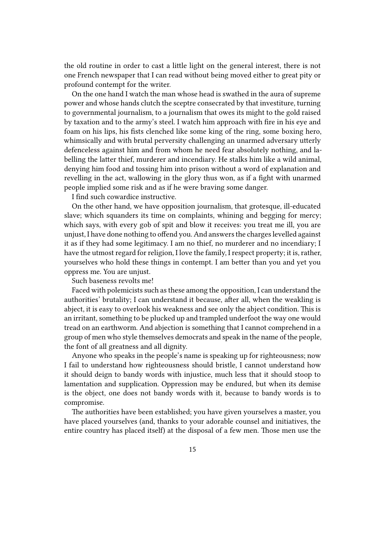the old routine in order to cast a little light on the general interest, there is not one French newspaper that I can read without being moved either to great pity or profound contempt for the writer.

On the one hand I watch the man whose head is swathed in the aura of supreme power and whose hands clutch the sceptre consecrated by that investiture, turning to governmental journalism, to a journalism that owes its might to the gold raised by taxation and to the army's steel. I watch him approach with fire in his eye and foam on his lips, his fists clenched like some king of the ring, some boxing hero, whimsically and with brutal perversity challenging an unarmed adversary utterly defenceless against him and from whom he need fear absolutely nothing, and labelling the latter thief, murderer and incendiary. He stalks him like a wild animal, denying him food and tossing him into prison without a word of explanation and revelling in the act, wallowing in the glory thus won, as if a fight with unarmed people implied some risk and as if he were braving some danger.

I find such cowardice instructive.

On the other hand, we have opposition journalism, that grotesque, ill-educated slave; which squanders its time on complaints, whining and begging for mercy; which says, with every gob of spit and blow it receives: you treat me ill, you are unjust, I have done nothing to offend you. And answers the charges levelled against it as if they had some legitimacy. I am no thief, no murderer and no incendiary; I have the utmost regard for religion, I love the family, I respect property; it is, rather, yourselves who hold these things in contempt. I am better than you and yet you oppress me. You are unjust.

Such baseness revolts me!

Faced with polemicists such as these among the opposition, I can understand the authorities' brutality; I can understand it because, after all, when the weakling is abject, it is easy to overlook his weakness and see only the abject condition. This is an irritant, something to be plucked up and trampled underfoot the way one would tread on an earthworm. And abjection is something that I cannot comprehend in a group of men who style themselves democrats and speak in the name of the people, the font of all greatness and all dignity.

Anyone who speaks in the people's name is speaking up for righteousness; now I fail to understand how righteousness should bristle, I cannot understand how it should deign to bandy words with injustice, much less that it should stoop to lamentation and supplication. Oppression may be endured, but when its demise is the object, one does not bandy words with it, because to bandy words is to compromise.

The authorities have been established; you have given yourselves a master, you have placed yourselves (and, thanks to your adorable counsel and initiatives, the entire country has placed itself) at the disposal of a few men. Those men use the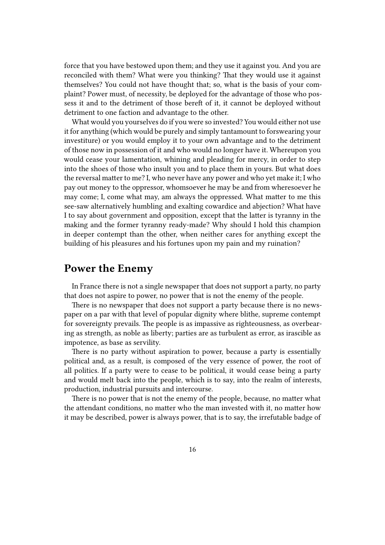force that you have bestowed upon them; and they use it against you. And you are reconciled with them? What were you thinking? That they would use it against themselves? You could not have thought that; so, what is the basis of your complaint? Power must, of necessity, be deployed for the advantage of those who possess it and to the detriment of those bereft of it, it cannot be deployed without detriment to one faction and advantage to the other.

What would you yourselves do if you were so invested? You would either not use it for anything (which would be purely and simply tantamount to forswearing your investiture) or you would employ it to your own advantage and to the detriment of those now in possession of it and who would no longer have it. Whereupon you would cease your lamentation, whining and pleading for mercy, in order to step into the shoes of those who insult you and to place them in yours. But what does the reversal matter to me? I, who never have any power and who yet make it; I who pay out money to the oppressor, whomsoever he may be and from wheresoever he may come; I, come what may, am always the oppressed. What matter to me this see-saw alternatively humbling and exalting cowardice and abjection? What have I to say about government and opposition, except that the latter is tyranny in the making and the former tyranny ready-made? Why should I hold this champion in deeper contempt than the other, when neither cares for anything except the building of his pleasures and his fortunes upon my pain and my ruination?

### <span id="page-15-0"></span>**Power the Enemy**

In France there is not a single newspaper that does not support a party, no party that does not aspire to power, no power that is not the enemy of the people.

There is no newspaper that does not support a party because there is no newspaper on a par with that level of popular dignity where blithe, supreme contempt for sovereignty prevails. The people is as impassive as righteousness, as overbearing as strength, as noble as liberty; parties are as turbulent as error, as irascible as impotence, as base as servility.

There is no party without aspiration to power, because a party is essentially political and, as a result, is composed of the very essence of power, the root of all politics. If a party were to cease to be political, it would cease being a party and would melt back into the people, which is to say, into the realm of interests, production, industrial pursuits and intercourse.

There is no power that is not the enemy of the people, because, no matter what the attendant conditions, no matter who the man invested with it, no matter how it may be described, power is always power, that is to say, the irrefutable badge of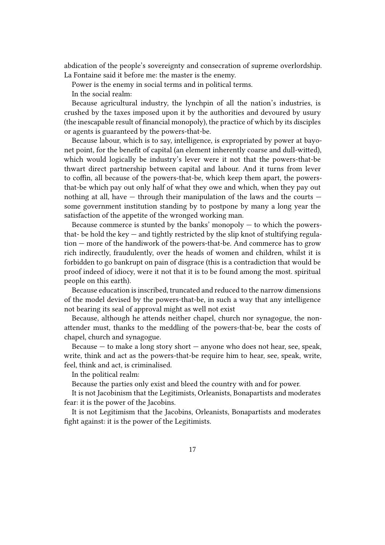abdication of the people's sovereignty and consecration of supreme overlordship. La Fontaine said it before me: the master is the enemy.

Power is the enemy in social terms and in political terms.

In the social realm:

Because agricultural industry, the lynchpin of all the nation's industries, is crushed by the taxes imposed upon it by the authorities and devoured by usury (the inescapable result of financial monopoly), the practice of which by its disciples or agents is guaranteed by the powers-that-be.

Because labour, which is to say, intelligence, is expropriated by power at bayonet point, for the benefit of capital (an element inherently coarse and dull-witted), which would logically be industry's lever were it not that the powers-that-be thwart direct partnership between capital and labour. And it turns from lever to coffin, all because of the powers-that-be, which keep them apart, the powersthat-be which pay out only half of what they owe and which, when they pay out nothing at all, have  $-$  through their manipulation of the laws and the courts  $$ some government institution standing by to postpone by many a long year the satisfaction of the appetite of the wronged working man.

Because commerce is stunted by the banks' monopoly  $-$  to which the powersthat- be hold the key  $-$  and tightly restricted by the slip knot of stultifying regulation — more of the handiwork of the powers-that-be. And commerce has to grow rich indirectly, fraudulently, over the heads of women and children, whilst it is forbidden to go bankrupt on pain of disgrace (this is a contradiction that would be proof indeed of idiocy, were it not that it is to be found among the most. spiritual people on this earth).

Because education is inscribed, truncated and reduced to the narrow dimensions of the model devised by the powers-that-be, in such a way that any intelligence not bearing its seal of approval might as well not exist

Because, although he attends neither chapel, church nor synagogue, the nonattender must, thanks to the meddling of the powers-that-be, bear the costs of chapel, church and synagogue.

Because  $-$  to make a long story short  $-$  anyone who does not hear, see, speak, write, think and act as the powers-that-be require him to hear, see, speak, write, feel, think and act, is criminalised.

In the political realm:

Because the parties only exist and bleed the country with and for power.

It is not Jacobinism that the Legitimists, Orleanists, Bonapartists and moderates fear: it is the power of the Jacobins.

It is not Legitimism that the Jacobins, Orleanists, Bonapartists and moderates fight against: it is the power of the Legitimists.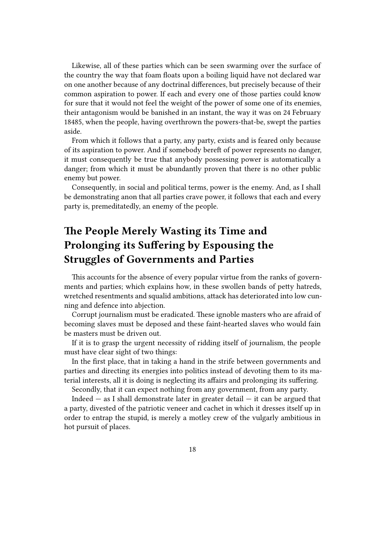Likewise, all of these parties which can be seen swarming over the surface of the country the way that foam floats upon a boiling liquid have not declared war on one another because of any doctrinal differences, but precisely because of their common aspiration to power. If each and every one of those parties could know for sure that it would not feel the weight of the power of some one of its enemies, their antagonism would be banished in an instant, the way it was on 24 February 18485, when the people, having overthrown the powers-that-be, swept the parties aside.

From which it follows that a party, any party, exists and is feared only because of its aspiration to power. And if somebody bereft of power represents no danger, it must consequently be true that anybody possessing power is automatically a danger; from which it must be abundantly proven that there is no other public enemy but power.

Consequently, in social and political terms, power is the enemy. And, as I shall be demonstrating anon that all parties crave power, it follows that each and every party is, premeditatedly, an enemy of the people.

### <span id="page-17-0"></span>**The People Merely Wasting its Time and Prolonging its Suffering by Espousing the Struggles of Governments and Parties**

This accounts for the absence of every popular virtue from the ranks of governments and parties; which explains how, in these swollen bands of petty hatreds, wretched resentments and squalid ambitions, attack has deteriorated into low cunning and defence into abjection.

Corrupt journalism must be eradicated. These ignoble masters who are afraid of becoming slaves must be deposed and these faint-hearted slaves who would fain be masters must be driven out.

If it is to grasp the urgent necessity of ridding itself of journalism, the people must have clear sight of two things:

In the first place, that in taking a hand in the strife between governments and parties and directing its energies into politics instead of devoting them to its material interests, all it is doing is neglecting its affairs and prolonging its suffering.

Secondly, that it can expect nothing from any government, from any party.

Indeed  $-$  as I shall demonstrate later in greater detail  $-$  it can be argued that a party, divested of the patriotic veneer and cachet in which it dresses itself up in order to entrap the stupid, is merely a motley crew of the vulgarly ambitious in hot pursuit of places.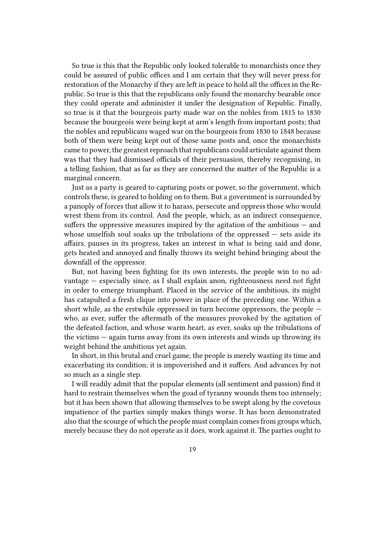So true is this that the Republic only looked tolerable to monarchists once they could be assured of public offices and I am certain that they will never press for restoration of the Monarchy if they are left in peace to hold all the offices in the Republic. So true is this that the republicans only found the monarchy bearable once they could operate and administer it under the designation of Republic. Finally, so true is it that the bourgeois party made war on the nobles from 1815 to 1830 because the bourgeois were being kept at arm's length from important posts; that the nobles and republicans waged war on the bourgeois from 1830 to 1848 because both of them were being kept out of those same posts and, once the monarchists came to power, the greatest reproach that republicans could articulate against them was that they had dismissed officials of their persuasion, thereby recognising, in a telling fashion, that as far as they are concerned the matter of the Republic is a marginal concern.

Just as a party is geared to capturing posts or power, so the government, which controls these, is geared to holding on to them. But a government is surrounded by a panoply of forces that allow it to harass, persecute and oppress those who would wrest them from its control. And the people, which, as an indirect consequence, suffers the oppressive measures inspired by the agitation of the ambitious  $-$  and whose unselfish soul soaks up the tribulations of the oppressed  $-$  sets aside its affairs, pauses in its progress, takes an interest in what is being said and done, gets heated and annoyed and finally throws its weight behind bringing about the downfall of the oppressor.

But, not having been fighting for its own interests, the people win to no advantage — especially since, as I shall explain anon, righteousness need not fight in order to emerge triumphant. Placed in the service of the ambitious, its might has catapulted a fresh clique into power in place of the preceding one. Within a short while, as the erstwhile oppressed in turn become oppressors, the people who, as ever, suffer the aftermath of the measures provoked by the agitation of the defeated faction, and whose warm heart, as ever, soaks up the tribulations of the victims — again turns away from its own interests and winds up throwing its weight behind the ambitious yet again.

In short, in this brutal and cruel game, the people is merely wasting its time and exacerbating its condition; it is impoverished and it suffers. And advances by not so much as a single step.

I will readily admit that the popular elements (all sentiment and passion) find it hard to restrain themselves when the goad of tyranny wounds them too intensely; but it has been shown that allowing themselves to be swept along by the covetous impatience of the parties simply makes things worse. It has been demonstrated also that the scourge of which the people must complain comes from groups which, merely because they do not operate as it does, work against it. The parties ought to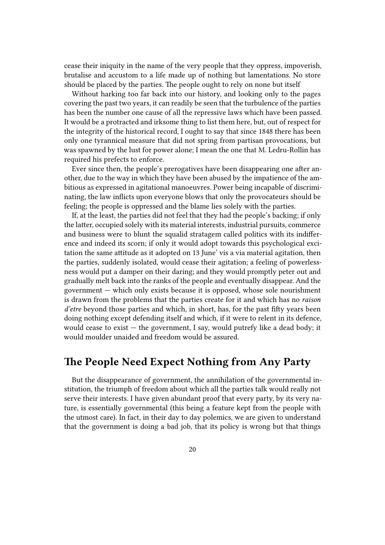cease their iniquity in the name of the very people that they oppress, impoverish, brutalise and accustom to a life made up of nothing but lamentations. No store should be placed by the parties. The people ought to rely on none but itself

Without harking too far back into our history, and looking only to the pages covering the past two years, it can readily be seen that the turbulence of the parties has been the number one cause of all the repressive laws which have been passed. It would be a protracted and irksome thing to list them here, but, out of respect for the integrity of the historical record, I ought to say that since 1848 there has been only one tyrannical measure that did not spring from partisan provocations, but was spawned by the lust for power alone; I mean the one that M. Ledru-Rollin has required his prefects to enforce.

Ever since then, the people's prerogatives have been disappearing one after another, due to the way in which they have been abused by the impatience of the ambitious as expressed in agitational manoeuvres. Power being incapable of discriminating, the law inflicts upon everyone blows that only the provocateurs should be feeling; the people is oppressed and the blame lies solely with the parties.

If, at the least, the parties did not feel that they had the people's backing; if only the latter, occupied solely with its material interests, industrial pursuits, commerce and business were to blunt the squalid stratagem called politics with its indifference and indeed its scorn; if only it would adopt towards this psychological excitation the same attitude as it adopted on 13 June' vis a via material agitation, then the parties, suddenly isolated, would cease their agitation; a feeling of powerlessness would put a damper on their daring; and they would promptly peter out and gradually melt back into the ranks of the people and eventually disappear. And the government — which only exists because it is opposed, whose sole nourishment is drawn from the problems that the parties create for it and which has no *raison d'etre* beyond those parties and which, in short, has, for the past fifty years been doing nothing except defending itself and which, if it were to relent in its defence, would cease to exist  $-$  the government, I say, would putrefy like a dead body; it would moulder unaided and freedom would be assured.

### <span id="page-19-0"></span>**The People Need Expect Nothing from Any Party**

But the disappearance of government, the annihilation of the governmental institution, the triumph of freedom about which all the parties talk would really not serve their interests. I have given abundant proof that every party, by its very nature, is essentially governmental (this being a feature kept from the people with the utmost care). In fact, in their day to day polemics, we are given to understand that the government is doing a bad job, that its policy is wrong but that things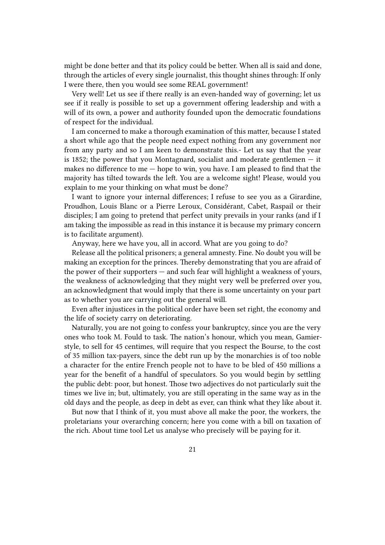might be done better and that its policy could be better. When all is said and done, through the articles of every single journalist, this thought shines through: If only I were there, then you would see some REAL government!

Very well! Let us see if there really is an even-handed way of governing; let us see if it really is possible to set up a government offering leadership and with a will of its own, a power and authority founded upon the democratic foundations of respect for the individual.

I am concerned to make a thorough examination of this matter, because I stated a short while ago that the people need expect nothing from any government nor from any party and so I am keen to demonstrate this.- Let us say that the year is 1852; the power that you Montagnard, socialist and moderate gentlemen  $-$  it makes no difference to me — hope to win, you have. I am pleased to find that the majority has tilted towards the left. You are a welcome sight! Please, would you explain to me your thinking on what must be done?

I want to ignore your internal differences; I refuse to see you as a Girardine, Proudhon, Louis Blanc or a Pierre Leroux, Considérant, Cabet, Raspail or their disciples; I am going to pretend that perfect unity prevails in your ranks (and if I am taking the impossible as read in this instance it is because my primary concern is to facilitate argument).

Anyway, here we have you, all in accord. What are you going to do?

Release all the political prisoners; a general amnesty. Fine. No doubt you will be making an exception for the princes. Thereby demonstrating that you are afraid of the power of their supporters — and such fear will highlight a weakness of yours, the weakness of acknowledging that they might very well be preferred over you, an acknowledgment that would imply that there is some uncertainty on your part as to whether you are carrying out the general will.

Even after injustices in the political order have been set right, the economy and the life of society carry on deteriorating.

Naturally, you are not going to confess your bankruptcy, since you are the very ones who took M. Fould to task. The nation's honour, which you mean, Gamierstyle, to sell for 45 centimes, will require that you respect the Bourse, to the cost of 35 million tax-payers, since the debt run up by the monarchies is of too noble a character for the entire French people not to have to be bled of 450 millions a year for the benefit of a handful of speculators. So you would begin by settling the public debt: poor, but honest. Those two adjectives do not particularly suit the times we live in; but, ultimately, you are still operating in the same way as in the old days and the people, as deep in debt as ever, can think what they like about it.

But now that I think of it, you must above all make the poor, the workers, the proletarians your overarching concern; here you come with a bill on taxation of the rich. About time tool Let us analyse who precisely will be paying for it.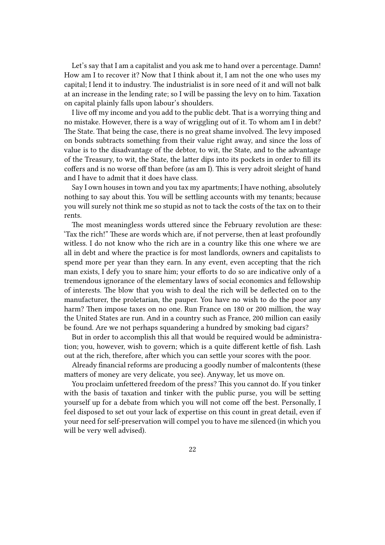Let's say that I am a capitalist and you ask me to hand over a percentage. Damn! How am I to recover it? Now that I think about it, I am not the one who uses my capital; I lend it to industry. The industrialist is in sore need of it and will not balk at an increase in the lending rate; so I will be passing the levy on to him. Taxation on capital plainly falls upon labour's shoulders.

I live off my income and you add to the public debt. That is a worrying thing and no mistake. However, there is a way of wriggling out of it. To whom am I in debt? The State. That being the case, there is no great shame involved. The levy imposed on bonds subtracts something from their value right away, and since the loss of value is to the disadvantage of the debtor, to wit, the State, and to the advantage of the Treasury, to wit, the State, the latter dips into its pockets in order to fill its coffers and is no worse off than before (as am I). This is very adroit sleight of hand and I have to admit that it does have class.

Say I own houses in town and you tax my apartments; I have nothing, absolutely nothing to say about this. You will be settling accounts with my tenants; because you will surely not think me so stupid as not to tack the costs of the tax on to their rents.

The most meaningless words uttered since the February revolution are these: 'Tax the rich!" These are words which are, if not perverse, then at least profoundly witless. I do not know who the rich are in a country like this one where we are all in debt and where the practice is for most landlords, owners and capitalists to spend more per year than they earn. In any event, even accepting that the rich man exists, I defy you to snare him; your efforts to do so are indicative only of a tremendous ignorance of the elementary laws of social economics and fellowship of interests. The blow that you wish to deal the rich will be deflected on to the manufacturer, the proletarian, the pauper. You have no wish to do the poor any harm? Then impose taxes on no one. Run France on 180 or 200 million, the way the United States are run. And in a country such as France, 200 million can easily be found. Are we not perhaps squandering a hundred by smoking bad cigars?

But in order to accomplish this all that would be required would be administration; you, however, wish to govern; which is a quite different kettle of fish. Lash out at the rich, therefore, after which you can settle your scores with the poor.

Already financial reforms are producing a goodly number of malcontents (these matters of money are very delicate, you see). Anyway, let us move on.

You proclaim unfettered freedom of the press? This you cannot do. If you tinker with the basis of taxation and tinker with the public purse, you will be setting yourself up for a debate from which you will not come off the best. Personally, I feel disposed to set out your lack of expertise on this count in great detail, even if your need for self-preservation will compel you to have me silenced (in which you will be very well advised).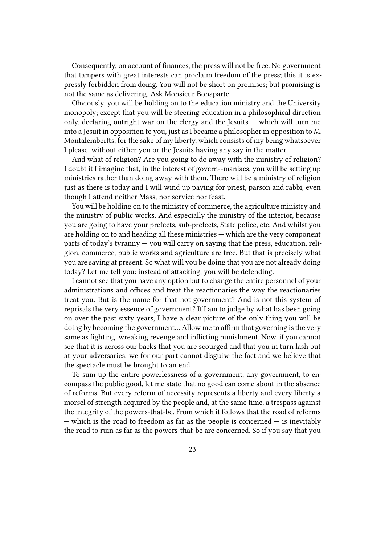Consequently, on account of finances, the press will not be free. No government that tampers with great interests can proclaim freedom of the press; this it is expressly forbidden from doing. You will not be short on promises; but promising is not the same as delivering. Ask Monsieur Bonaparte.

Obviously, you will be holding on to the education ministry and the University monopoly; except that you will be steering education in a philosophical direction only, declaring outright war on the clergy and the Jesuits — which will turn me into a Jesuit in opposition to you, just as I became a philosopher in opposition to M. Montalembertts, for the sake of my liberty, which consists of my being whatsoever I please, without either you or the Jesuits having any say in the matter.

And what of religion? Are you going to do away with the ministry of religion? I doubt it I imagine that, in the interest of govern--maniacs, you will be setting up ministries rather than doing away with them. There will be a ministry of religion just as there is today and I will wind up paying for priest, parson and rabbi, even though I attend neither Mass, nor service nor feast.

You will be holding on to the ministry of commerce, the agriculture ministry and the ministry of public works. And especially the ministry of the interior, because you are going to have your prefects, sub-prefects, State police, etc. And whilst you are holding on to and heading all these ministries — which are the very component parts of today's tyranny — you will carry on saying that the press, education, religion, commerce, public works and agriculture are free. But that is precisely what you are saying at present. So what will you be doing that you are not already doing today? Let me tell you: instead of attacking, you will be defending.

I cannot see that you have any option but to change the entire personnel of your administrations and offices and treat the reactionaries the way the reactionaries treat you. But is the name for that not government? And is not this system of reprisals the very essence of government? If I am to judge by what has been going on over the past sixty years, I have a clear picture of the only thing you will be doing by becoming the government… Allow me to affirm that governing is the very same as fighting, wreaking revenge and inflicting punishment. Now, if you cannot see that it is across our backs that you are scourged and that you in turn lash out at your adversaries, we for our part cannot disguise the fact and we believe that the spectacle must be brought to an end.

To sum up the entire powerlessness of a government, any government, to encompass the public good, let me state that no good can come about in the absence of reforms. But every reform of necessity represents a liberty and every liberty a morsel of strength acquired by the people and, at the same time, a trespass against the integrity of the powers-that-be. From which it follows that the road of reforms  $-$  which is the road to freedom as far as the people is concerned  $-$  is inevitably the road to ruin as far as the powers-that-be are concerned. So if you say that you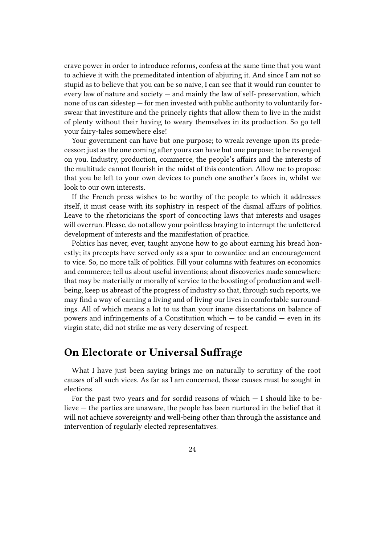crave power in order to introduce reforms, confess at the same time that you want to achieve it with the premeditated intention of abjuring it. And since I am not so stupid as to believe that you can be so naive, I can see that it would run counter to every law of nature and society — and mainly the law of self- preservation, which none of us can sidestep — for men invested with public authority to voluntarily forswear that investiture and the princely rights that allow them to live in the midst of plenty without their having to weary themselves in its production. So go tell your fairy-tales somewhere else!

Your government can have but one purpose; to wreak revenge upon its predecessor; just as the one coming after yours can have but one purpose; to be revenged on you. Industry, production, commerce, the people's affairs and the interests of the multitude cannot flourish in the midst of this contention. Allow me to propose that you be left to your own devices to punch one another's faces in, whilst we look to our own interests.

If the French press wishes to be worthy of the people to which it addresses itself, it must cease with its sophistry in respect of the dismal affairs of politics. Leave to the rhetoricians the sport of concocting laws that interests and usages will overrun. Please, do not allow your pointless braying to interrupt the unfettered development of interests and the manifestation of practice.

Politics has never, ever, taught anyone how to go about earning his bread honestly; its precepts have served only as a spur to cowardice and an encouragement to vice. So, no more talk of politics. Fill your columns with features on economics and commerce; tell us about useful inventions; about discoveries made somewhere that may be materially or morally of service to the boosting of production and wellbeing, keep us abreast of the progress of industry so that, through such reports, we may find a way of earning a living and of living our lives in comfortable surroundings. All of which means a lot to us than your inane dissertations on balance of powers and infringements of a Constitution which  $-$  to be candid  $-$  even in its virgin state, did not strike me as very deserving of respect.

### <span id="page-23-0"></span>**On Electorate or Universal Suffrage**

What I have just been saying brings me on naturally to scrutiny of the root causes of all such vices. As far as I am concerned, those causes must be sought in elections.

For the past two years and for sordid reasons of which  $-$  I should like to believe — the parties are unaware, the people has been nurtured in the belief that it will not achieve sovereignty and well-being other than through the assistance and intervention of regularly elected representatives.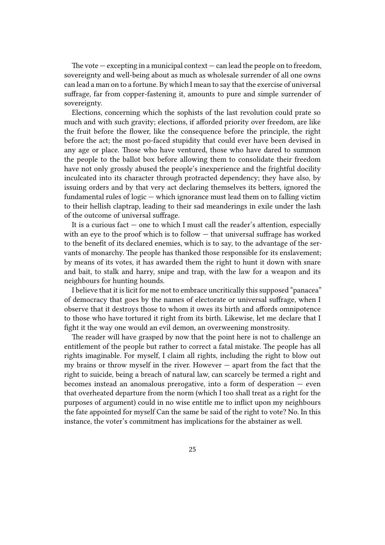The vote — excepting in a municipal context — can lead the people on to freedom, sovereignty and well-being about as much as wholesale surrender of all one owns can lead a man on to a fortune. By which I mean to say that the exercise of universal suffrage, far from copper-fastening it, amounts to pure and simple surrender of sovereignty.

Elections, concerning which the sophists of the last revolution could prate so much and with such gravity; elections, if afforded priority over freedom, are like the fruit before the flower, like the consequence before the principle, the right before the act; the most po-faced stupidity that could ever have been devised in any age or place. Those who have ventured, those who have dared to summon the people to the ballot box before allowing them to consolidate their freedom have not only grossly abused the people's inexperience and the frightful docility inculcated into its character through protracted dependency; they have also, by issuing orders and by that very act declaring themselves its betters, ignored the fundamental rules of  $logic$  — which ignorance must lead them on to falling victim to their hellish claptrap, leading to their sad meanderings in exile under the lash of the outcome of universal suffrage.

It is a curious fact  $-$  one to which I must call the reader's attention, especially with an eye to the proof which is to follow — that universal suffrage has worked to the benefit of its declared enemies, which is to say, to the advantage of the servants of monarchy. The people has thanked those responsible for its enslavement; by means of its votes, it has awarded them the right to hunt it down with snare and bait, to stalk and harry, snipe and trap, with the law for a weapon and its neighbours for hunting hounds.

I believe that it is licit for me not to embrace uncritically this supposed "panacea" of democracy that goes by the names of electorate or universal suffrage, when I observe that it destroys those to whom it owes its birth and affords omnipotence to those who have tortured it right from its birth. Likewise, let me declare that I fight it the way one would an evil demon, an overweening monstrosity.

The reader will have grasped by now that the point here is not to challenge an entitlement of the people but rather to correct a fatal mistake. The people has all rights imaginable. For myself, I claim all rights, including the right to blow out my brains or throw myself in the river. However — apart from the fact that the right to suicide, being a breach of natural law, can scarcely be termed a right and becomes instead an anomalous prerogative, into a form of desperation — even that overheated departure from the norm (which I too shall treat as a right for the purposes of argument) could in no wise entitle me to inflict upon my neighbours the fate appointed for myself Can the same be said of the right to vote? No. In this instance, the voter's commitment has implications for the abstainer as well.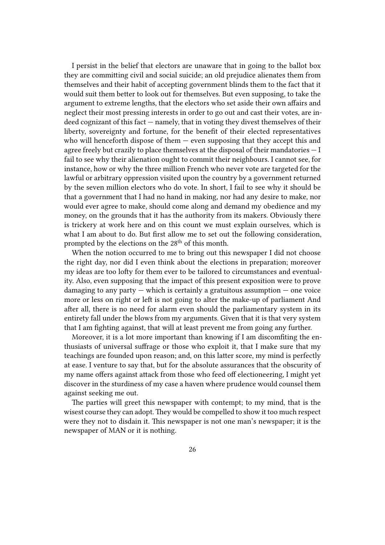I persist in the belief that electors are unaware that in going to the ballot box they are committing civil and social suicide; an old prejudice alienates them from themselves and their habit of accepting government blinds them to the fact that it would suit them better to look out for themselves. But even supposing, to take the argument to extreme lengths, that the electors who set aside their own affairs and neglect their most pressing interests in order to go out and cast their votes, are indeed cognizant of this fact — namely, that in voting they divest themselves of their liberty, sovereignty and fortune, for the benefit of their elected representatives who will henceforth dispose of them  $-$  even supposing that they accept this and agree freely but crazily to place themselves at the disposal of their mandatories  $-1$ fail to see why their alienation ought to commit their neighbours. I cannot see, for instance, how or why the three million French who never vote are targeted for the lawful or arbitrary oppression visited upon the country by a government returned by the seven million electors who do vote. In short, I fail to see why it should be that a government that I had no hand in making, nor had any desire to make, nor would ever agree to make, should come along and demand my obedience and my money, on the grounds that it has the authority from its makers. Obviously there is trickery at work here and on this count we must explain ourselves, which is what I am about to do. But first allow me to set out the following consideration, prompted by the elections on the 28<sup>th</sup> of this month.

When the notion occurred to me to bring out this newspaper I did not choose the right day, nor did I even think about the elections in preparation; moreover my ideas are too lofty for them ever to be tailored to circumstances and eventuality. Also, even supposing that the impact of this present exposition were to prove damaging to any party  $-$  which is certainly a gratuitous assumption  $-$  one voice more or less on right or left is not going to alter the make-up of parliament And after all, there is no need for alarm even should the parliamentary system in its entirety fall under the blows from my arguments. Given that it is that very system that I am fighting against, that will at least prevent me from going any further.

Moreover, it is a lot more important than knowing if I am discomfiting the enthusiasts of universal suffrage or those who exploit it, that I make sure that my teachings are founded upon reason; and, on this latter score, my mind is perfectly at ease. I venture to say that, but for the absolute assurances that the obscurity of my name offers against attack from those who feed off electioneering, I might yet discover in the sturdiness of my case a haven where prudence would counsel them against seeking me out.

The parties will greet this newspaper with contempt; to my mind, that is the wisest course they can adopt. They would be compelled to show it too much respect were they not to disdain it. This newspaper is not one man's newspaper; it is the newspaper of MAN or it is nothing.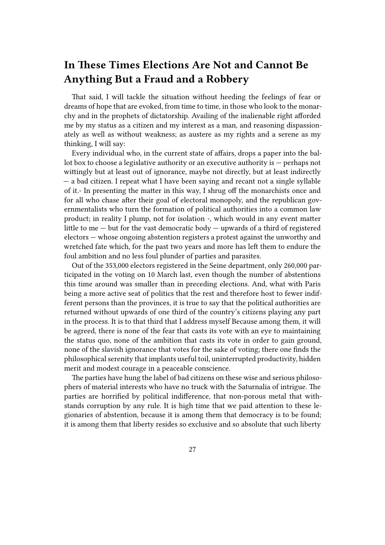### <span id="page-26-0"></span>**In These Times Elections Are Not and Cannot Be Anything But a Fraud and a Robbery**

That said, I will tackle the situation without heeding the feelings of fear or dreams of hope that are evoked, from time to time, in those who look to the monarchy and in the prophets of dictatorship. Availing of the inalienable right afforded me by my status as a citizen and my interest as a man, and reasoning dispassionately as well as without weakness; as austere as my rights and a serene as my thinking, I will say:

Every individual who, in the current state of affairs, drops a paper into the ballot box to choose a legislative authority or an executive authority is — perhaps not wittingly but at least out of ignorance, maybe not directly, but at least indirectly — a bad citizen. I repeat what I have been saying and recant not a single syllable of it.- In presenting the matter in this way, I shrug off the monarchists once and for all who chase after their goal of electoral monopoly, and the republican governmentalists who turn the formation of political authorities into a common law product; in reality I plump, not for isolation -, which would in any event matter little to me — but for the vast democratic body — upwards of a third of registered electors — whose ongoing abstention registers a protest against the unworthy and wretched fate which, for the past two years and more has left them to endure the foul ambition and no less foul plunder of parties and parasites.

Out of the 353,000 electors registered in the Seine department, only 260,000 participated in the voting on 10 March last, even though the number of abstentions this time around was smaller than in preceding elections. And, what with Paris being a more active seat of politics that the rest and therefore host to fewer indifferent persons than the provinces, it is true to say that the political authorities are returned without upwards of one third of the country's citizens playing any part in the process. It is to that third that I address myself Because among them, it will be agreed, there is none of the fear that casts its vote with an eye to maintaining the status quo, none of the ambition that casts its vote in order to gain ground, none of the slavish ignorance that votes for the sake of voting; there one finds the philosophical serenity that implants useful toil, uninterrupted productivity, hidden merit and modest courage in a peaceable conscience.

The parties have hung the label of bad citizens on these wise and serious philosophers of material interests who have no truck with the Saturnalia of intrigue. The parties are horrified by political indifference, that non-porous metal that withstands corruption by any rule. It is high time that we paid attention to these legionaries of abstention, because it is among them that democracy is to be found; it is among them that liberty resides so exclusive and so absolute that such liberty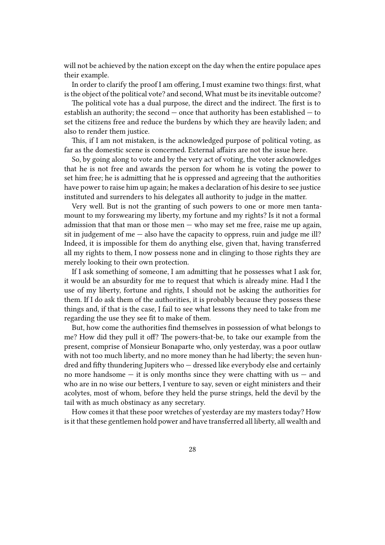will not be achieved by the nation except on the day when the entire populace apes their example.

In order to clarify the proof I am offering, I must examine two things: first, what is the object of the political vote? and second, What must be its inevitable outcome?

The political vote has a dual purpose, the direct and the indirect. The first is to establish an authority; the second — once that authority has been established — to set the citizens free and reduce the burdens by which they are heavily laden; and also to render them justice.

This, if I am not mistaken, is the acknowledged purpose of political voting, as far as the domestic scene is concerned. External affairs are not the issue here.

So, by going along to vote and by the very act of voting, the voter acknowledges that he is not free and awards the person for whom he is voting the power to set him free; he is admitting that he is oppressed and agreeing that the authorities have power to raise him up again; he makes a declaration of his desire to see justice instituted and surrenders to his delegates all authority to judge in the matter.

Very well. But is not the granting of such powers to one or more men tantamount to my forswearing my liberty, my fortune and my rights? Is it not a formal admission that that man or those men  $-$  who may set me free, raise me up again, sit in judgement of me  $-$  also have the capacity to oppress, ruin and judge me ill? Indeed, it is impossible for them do anything else, given that, having transferred all my rights to them, I now possess none and in clinging to those rights they are merely looking to their own protection.

If I ask something of someone, I am admitting that he possesses what I ask for, it would be an absurdity for me to request that which is already mine. Had I the use of my liberty, fortune and rights, I should not be asking the authorities for them. If I do ask them of the authorities, it is probably because they possess these things and, if that is the case, I fail to see what lessons they need to take from me regarding the use they see fit to make of them.

But, how come the authorities find themselves in possession of what belongs to me? How did they pull it off? The powers-that-be, to take our example from the present, comprise of Monsieur Bonaparte who, only yesterday, was a poor outlaw with not too much liberty, and no more money than he had liberty; the seven hundred and fifty thundering Jupiters who — dressed like everybody else and certainly no more handsome  $-$  it is only months since they were chatting with us  $-$  and who are in no wise our betters, I venture to say, seven or eight ministers and their acolytes, most of whom, before they held the purse strings, held the devil by the tail with as much obstinacy as any secretary.

How comes it that these poor wretches of yesterday are my masters today? How is it that these gentlemen hold power and have transferred all liberty, all wealth and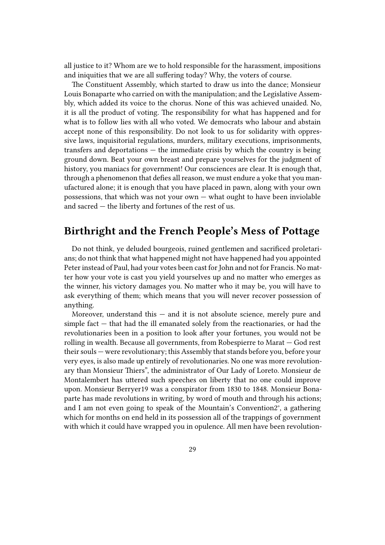all justice to it? Whom are we to hold responsible for the harassment, impositions and iniquities that we are all suffering today? Why, the voters of course.

The Constituent Assembly, which started to draw us into the dance; Monsieur Louis Bonaparte who carried on with the manipulation; and the Legislative Assembly, which added its voice to the chorus. None of this was achieved unaided. No, it is all the product of voting. The responsibility for what has happened and for what is to follow lies with all who voted. We democrats who labour and abstain accept none of this responsibility. Do not look to us for solidarity with oppressive laws, inquisitorial regulations, murders, military executions, imprisonments, transfers and deportations — the immediate crisis by which the country is being ground down. Beat your own breast and prepare yourselves for the judgment of history, you maniacs for government! Our consciences are clear. It is enough that, through a phenomenon that defies all reason, we must endure a yoke that you manufactured alone; it is enough that you have placed in pawn, along with your own possessions, that which was not your own  $-$  what ought to have been inviolable and sacred — the liberty and fortunes of the rest of us.

### <span id="page-28-0"></span>**Birthright and the French People's Mess of Pottage**

Do not think, ye deluded bourgeois, ruined gentlemen and sacrificed proletarians; do not think that what happened might not have happened had you appointed Peter instead of Paul, had your votes been cast for John and not for Francis. No matter how your vote is cast you yield yourselves up and no matter who emerges as the winner, his victory damages you. No matter who it may be, you will have to ask everything of them; which means that you will never recover possession of anything.

Moreover, understand this — and it is not absolute science, merely pure and simple fact — that had the ill emanated solely from the reactionaries, or had the revolutionaries been in a position to look after your fortunes, you would not be rolling in wealth. Because all governments, from Robespierre to Marat — God rest their souls — were revolutionary; this Assembly that stands before you, before your very eyes, is also made up entirely of revolutionaries. No one was more revolutionary than Monsieur Thiers", the administrator of Our Lady of Loreto. Monsieur de Montalembert has uttered such speeches on liberty that no one could improve upon. Monsieur Berryer19 was a conspirator from 1830 to 1848. Monsieur Bonaparte has made revolutions in writing, by word of mouth and through his actions; and I am not even going to speak of the Mountain's Convention2°, a gathering which for months on end held in its possession all of the trappings of government with which it could have wrapped you in opulence. All men have been revolution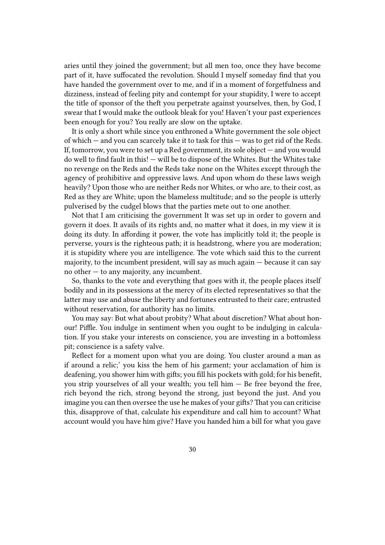aries until they joined the government; but all men too, once they have become part of it, have suffocated the revolution. Should I myself someday find that you have handed the government over to me, and if in a moment of forgetfulness and dizziness, instead of feeling pity and contempt for your stupidity, I were to accept the title of sponsor of the theft you perpetrate against yourselves, then, by God, I swear that I would make the outlook bleak for you! Haven't your past experiences been enough for you? You really are slow on the uptake.

It is only a short while since you enthroned a White government the sole object of which — and you can scarcely take it to task for this — was to get rid of the Reds. If, tomorrow, you were to set up a Red government, its sole object — and you would do well to find fault in this! — will be to dispose of the Whites. But the Whites take no revenge on the Reds and the Reds take none on the Whites except through the agency of prohibitive and oppressive laws. And upon whom do these laws weigh heavily? Upon those who are neither Reds nor Whites, or who are, to their cost, as Red as they are White; upon the blameless multitude; and so the people is utterly pulverised by the cudgel blows that the parties mete out to one another.

Not that I am criticising the government It was set up in order to govern and govern it does. It avails of its rights and, no matter what it does, in my view it is doing its duty. In affording it power, the vote has implicitly told it; the people is perverse, yours is the righteous path; it is headstrong, where you are moderation; it is stupidity where you are intelligence. The vote which said this to the current majority, to the incumbent president, will say as much again — because it can say no other — to any majority, any incumbent.

So, thanks to the vote and everything that goes with it, the people places itself bodily and in its possessions at the mercy of its elected representatives so that the latter may use and abuse the liberty and fortunes entrusted to their care; entrusted without reservation, for authority has no limits.

You may say: But what about probity? What about discretion? What about honour! Piffle. You indulge in sentiment when you ought to be indulging in calculation. If you stake your interests on conscience, you are investing in a bottomless pit; conscience is a safety valve.

Reflect for a moment upon what you are doing. You cluster around a man as if around a relic;' you kiss the hem of his garment; your acclamation of him is deafening, you shower him with gifts; you fill his pockets with gold; for his benefit, you strip yourselves of all your wealth; you tell him  $-$  Be free beyond the free, rich beyond the rich, strong beyond the strong, just beyond the just. And you imagine you can then oversee the use he makes of your gifts? That you can criticise this, disapprove of that, calculate his expenditure and call him to account? What account would you have him give? Have you handed him a bill for what you gave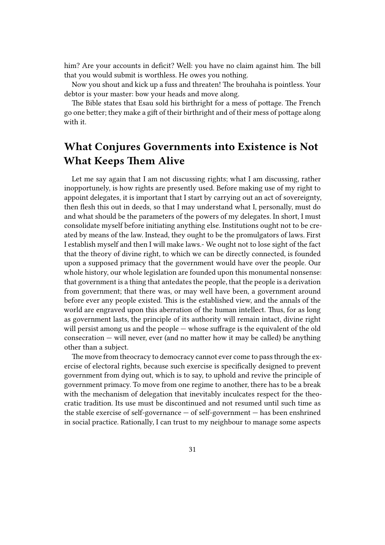him? Are your accounts in deficit? Well: you have no claim against him. The bill that you would submit is worthless. He owes you nothing.

Now you shout and kick up a fuss and threaten! The brouhaha is pointless. Your debtor is your master: bow your heads and move along.

The Bible states that Esau sold his birthright for a mess of pottage. The French go one better; they make a gift of their birthright and of their mess of pottage along with it.

### <span id="page-30-0"></span>**What Conjures Governments into Existence is Not What Keeps Them Alive**

Let me say again that I am not discussing rights; what I am discussing, rather inopportunely, is how rights are presently used. Before making use of my right to appoint delegates, it is important that I start by carrying out an act of sovereignty, then flesh this out in deeds, so that I may understand what I, personally, must do and what should be the parameters of the powers of my delegates. In short, I must consolidate myself before initiating anything else. Institutions ought not to be created by means of the law. Instead, they ought to be the promulgators of laws. First I establish myself and then I will make laws.- We ought not to lose sight of the fact that the theory of divine right, to which we can be directly connected, is founded upon a supposed primacy that the government would have over the people. Our whole history, our whole legislation are founded upon this monumental nonsense: that government is a thing that antedates the people, that the people is a derivation from government; that there was, or may well have been, a government around before ever any people existed. This is the established view, and the annals of the world are engraved upon this aberration of the human intellect. Thus, for as long as government lasts, the principle of its authority will remain intact, divine right will persist among us and the people — whose suffrage is the equivalent of the old consecration — will never, ever (and no matter how it may be called) be anything other than a subject.

The move from theocracy to democracy cannot ever come to pass through the exercise of electoral rights, because such exercise is specifically designed to prevent government from dying out, which is to say, to uphold and revive the principle of government primacy. To move from one regime to another, there has to be a break with the mechanism of delegation that inevitably inculcates respect for the theocratic tradition. Its use must be discontinued and not resumed until such time as the stable exercise of self-governance  $-$  of self-government  $-$  has been enshrined in social practice. Rationally, I can trust to my neighbour to manage some aspects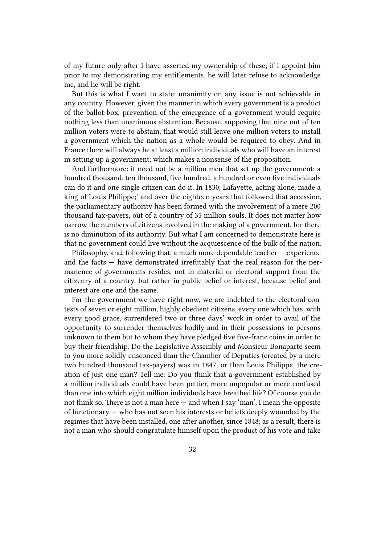of my future only after I have asserted my ownership of these; if I appoint him prior to my demonstrating my entitlements, he will later refuse to acknowledge me, and he will be right.

But this is what I want to state: unanimity on any issue is not achievable in any country. However, given the manner in which every government is a product of the ballot-box, prevention of the emergence of a government would require nothing less than unanimous abstention. Because, supposing that nine out of ten million voters were to abstain, that would still leave one million voters to install a government which the nation as a whole would be required to obey. And in France there will always be at least a million individuals who will have an interest in setting up a government; which makes a nonsense of the proposition.

And furthermore: it need not be a million men that set up the government; a hundred thousand, ten thousand, five hundred, a hundred or even five individuals can do it and one single citizen can do it. In 1830, Lafayette, acting alone, made a king of Louis Philippe;' and over the eighteen years that followed that accession, the parliamentary authority has been formed with the involvement of a mere 200 thousand tax-payers, out of a country of 35 million souls. It does not matter how narrow the numbers of citizens involved in the making of a government, for there is no diminution of its authority. But what I am concerned to demonstrate here is that no government could live without the acquiescence of the bulk of the nation.

Philosophy, and, following that, a much more dependable teacher — experience and the facts — have demonstrated irrefutably that the real reason for the permanence of governments resides, not in material or electoral support from the citizenry of a country, but rather in public belief or interest, because belief and interest are one and the same.

For the government we have right now, we are indebted to the electoral contests of seven or eight million, highly obedient citizens, every one which has, with every good grace, surrendered two or three days' work in order to avail of the opportunity to surrender themselves bodily and in their possessions to persons unknown to them but to whom they have pledged five five-franc coins in order to buy their friendship. Do the Legislative Assembly and Monsieur Bonaparte seem to you more solidly ensconced than the Chamber of Deputies (created by a mere two hundred thousand tax-payers) was in 1847, or than Louis Philippe, the creation of just one man? Tell me: Do you think that a government established by a million individuals could have been pettier, more unpopular or more confused than one into which eight million individuals have breathed life? Of course you do not think so. There is not a man here — and when I say 'man', I mean the opposite of functionary — who has not seen his interests or beliefs deeply wounded by the regimes that have been installed, one after another, since 1848; as a result, there is not a man who should congratulate himself upon the product of his vote and take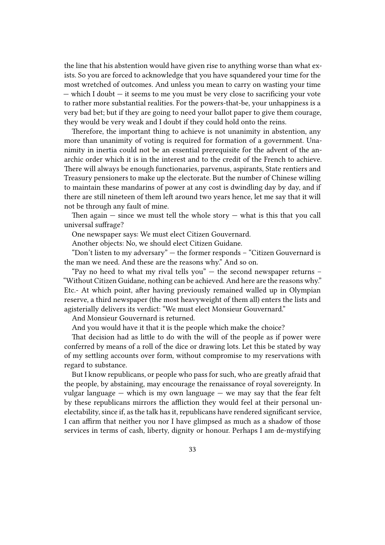the line that his abstention would have given rise to anything worse than what exists. So you are forced to acknowledge that you have squandered your time for the most wretched of outcomes. And unless you mean to carry on wasting your time — which I doubt — it seems to me you must be very close to sacrificing your vote to rather more substantial realities. For the powers-that-be, your unhappiness is a very bad bet; but if they are going to need your ballot paper to give them courage, they would be very weak and I doubt if they could hold onto the reins.

Therefore, the important thing to achieve is not unanimity in abstention, any more than unanimity of voting is required for formation of a government. Unanimity in inertia could not be an essential prerequisite for the advent of the anarchic order which it is in the interest and to the credit of the French to achieve. There will always be enough functionaries, parvenus, aspirants, State rentiers and Treasury pensioners to make up the electorate. But the number of Chinese willing to maintain these mandarins of power at any cost is dwindling day by day, and if there are still nineteen of them left around two years hence, let me say that it will not be through any fault of mine.

Then again  $-$  since we must tell the whole story  $-$  what is this that you call universal suffrage?

One newspaper says: We must elect Citizen Gouvernard.

Another objects: No, we should elect Citizen Guidane.

"Don't listen to my adversary" — the former responds – "Citizen Gouvernard is the man we need. And these are the reasons why." And so on.

"Pay no heed to what my rival tells you" — the second newspaper returns – "Without Citizen Guidane, nothing can be achieved. And here are the reasons why." Etc.- At which point, after having previously remained walled up in Olympian reserve, a third newspaper (the most heavyweight of them all) enters the lists and agisterially delivers its verdict: "We must elect Monsieur Gouvernard."

And Monsieur Gouvernard is returned.

And you would have it that it is the people which make the choice?

That decision had as little to do with the will of the people as if power were conferred by means of a roll of the dice or drawing lots. Let this be stated by way of my settling accounts over form, without compromise to my reservations with regard to substance.

But I know republicans, or people who pass for such, who are greatly afraid that the people, by abstaining, may encourage the renaissance of royal sovereignty. In vulgar language  $-$  which is my own language  $-$  we may say that the fear felt by these republicans mirrors the affliction they would feel at their personal unelectability, since if, as the talk has it, republicans have rendered significant service, I can affirm that neither you nor I have glimpsed as much as a shadow of those services in terms of cash, liberty, dignity or honour. Perhaps I am de-mystifying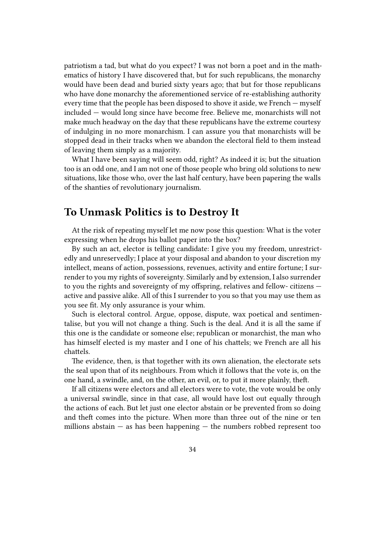patriotism a tad, but what do you expect? I was not born a poet and in the mathematics of history I have discovered that, but for such republicans, the monarchy would have been dead and buried sixty years ago; that but for those republicans who have done monarchy the aforementioned service of re-establishing authority every time that the people has been disposed to shove it aside, we French — myself included — would long since have become free. Believe me, monarchists will not make much headway on the day that these republicans have the extreme courtesy of indulging in no more monarchism. I can assure you that monarchists will be stopped dead in their tracks when we abandon the electoral field to them instead of leaving them simply as a majority.

What I have been saying will seem odd, right? As indeed it is; but the situation too is an odd one, and I am not one of those people who bring old solutions to new situations, like those who, over the last half century, have been papering the walls of the shanties of revolutionary journalism.

### <span id="page-33-0"></span>**To Unmask Politics is to Destroy It**

At the risk of repeating myself let me now pose this question: What is the voter expressing when he drops his ballot paper into the box?

By such an act, elector is telling candidate: I give you my freedom, unrestrictedly and unreservedly; I place at your disposal and abandon to your discretion my intellect, means of action, possessions, revenues, activity and entire fortune; I surrender to you my rights of sovereignty. Similarly and by extension, I also surrender to you the rights and sovereignty of my offspring, relatives and fellow- citizens active and passive alike. All of this I surrender to you so that you may use them as you see fit. My only assurance is your whim.

Such is electoral control. Argue, oppose, dispute, wax poetical and sentimentalise, but you will not change a thing. Such is the deal. And it is all the same if this one is the candidate or someone else; republican or monarchist, the man who has himself elected is my master and I one of his chattels; we French are all his chattels.

The evidence, then, is that together with its own alienation, the electorate sets the seal upon that of its neighbours. From which it follows that the vote is, on the one hand, a swindle, and, on the other, an evil, or, to put it more plainly, theft.

If all citizens were electors and all electors were to vote, the vote would be only a universal swindle, since in that case, all would have lost out equally through the actions of each. But let just one elector abstain or be prevented from so doing and theft comes into the picture. When more than three out of the nine or ten millions abstain  $-$  as has been happening  $-$  the numbers robbed represent too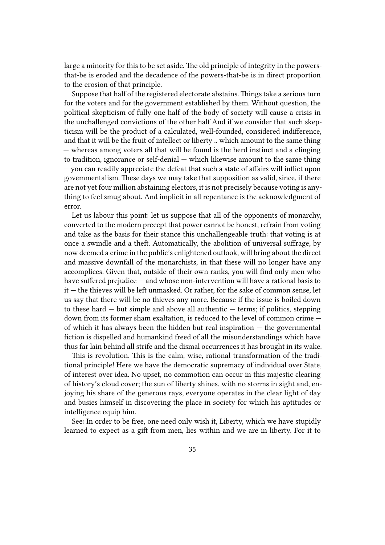large a minority for this to be set aside. The old principle of integrity in the powersthat-be is eroded and the decadence of the powers-that-be is in direct proportion to the erosion of that principle.

Suppose that half of the registered electorate abstains. Things take a serious turn for the voters and for the government established by them. Without question, the political skepticism of fully one half of the body of society will cause a crisis in the unchallenged convictions of the other half And if we consider that such skepticism will be the product of a calculated, well-founded, considered indifference, and that it will be the fruit of intellect or liberty .. which amount to the same thing — whereas among voters all that will be found is the herd instinct and a clinging to tradition, ignorance or self-denial — which likewise amount to the same thing — you can readily appreciate the defeat that such a state of affairs will inflict upon govemmentalism. These days we may take that supposition as valid, since, if there are not yet four million abstaining electors, it is not precisely because voting is anything to feel smug about. And implicit in all repentance is the acknowledgment of error.

Let us labour this point: let us suppose that all of the opponents of monarchy, converted to the modern precept that power cannot be honest, refrain from voting and take as the basis for their stance this unchallengeable truth: that voting is at once a swindle and a theft. Automatically, the abolition of universal suffrage, by now deemed a crime in the public's enlightened outlook, will bring about the direct and massive downfall of the monarchists, in that these will no longer have any accomplices. Given that, outside of their own ranks, you will find only men who have suffered prejudice — and whose non-intervention will have a rational basis to it — the thieves will be left unmasked. Or rather, for the sake of common sense, let us say that there will be no thieves any more. Because if the issue is boiled down to these hard  $-$  but simple and above all authentic  $-$  terms; if politics, stepping down from its former sham exaltation, is reduced to the level of common crime of which it has always been the hidden but real inspiration  $-$  the governmental fiction is dispelled and humankind freed of all the misunderstandings which have thus far lain behind all strife and the dismal occurrences it has brought in its wake.

This is revolution. This is the calm, wise, rational transformation of the traditional principle! Here we have the democratic supremacy of individual over State, of interest over idea. No upset, no commotion can occur in this majestic clearing of history's cloud cover; the sun of liberty shines, with no storms in sight and, enjoying his share of the generous rays, everyone operates in the clear light of day and busies himself in discovering the place in society for which his aptitudes or intelligence equip him.

See: In order to be free, one need only wish it, Liberty, which we have stupidly learned to expect as a gift from men, lies within and we are in liberty. For it to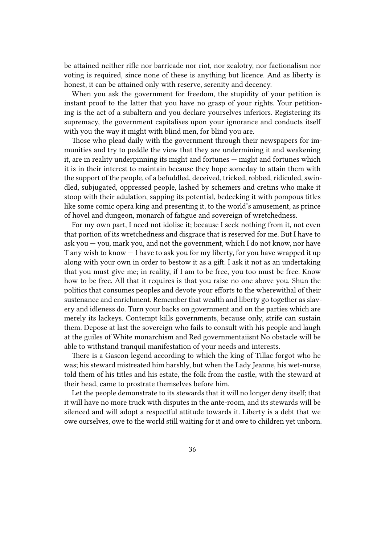be attained neither rifle nor barricade nor riot, nor zealotry, nor factionalism nor voting is required, since none of these is anything but licence. And as liberty is honest, it can be attained only with reserve, serenity and decency.

When you ask the government for freedom, the stupidity of your petition is instant proof to the latter that you have no grasp of your rights. Your petitioning is the act of a subaltern and you declare yourselves inferiors. Registering its supremacy, the government capitalises upon your ignorance and conducts itself with you the way it might with blind men, for blind you are.

Those who plead daily with the government through their newspapers for immunities and try to peddle the view that they are undermining it and weakening it, are in reality underpinning its might and fortunes — might and fortunes which it is in their interest to maintain because they hope someday to attain them with the support of the people, of a befuddled, deceived, tricked, robbed, ridiculed, swindled, subjugated, oppressed people, lashed by schemers and cretins who make it stoop with their adulation, sapping its potential, bedecking it with pompous titles like some comic opera king and presenting it, to the world's amusement, as prince of hovel and dungeon, monarch of fatigue and sovereign of wretchedness.

For my own part, I need not idolise it; because I seek nothing from it, not even that portion of its wretchedness and disgrace that is reserved for me. But I have to ask you — you, mark you, and not the government, which I do not know, nor have T any wish to know — I have to ask you for my liberty, for you have wrapped it up along with your own in order to bestow it as a gift. I ask it not as an undertaking that you must give me; in reality, if I am to be free, you too must be free. Know how to be free. All that it requires is that you raise no one above you. Shun the politics that consumes peoples and devote your efforts to the wherewithal of their sustenance and enrichment. Remember that wealth and liberty go together as slavery and idleness do. Turn your backs on government and on the parties which are merely its lackeys. Contempt kills governments, because only, strife can sustain them. Depose at last the sovereign who fails to consult with his people and laugh at the guiles of White monarchism and Red governmentaiisnt No obstacle will be able to withstand tranquil manifestation of your needs and interests.

There is a Gascon legend according to which the king of Tillac forgot who he was; his steward mistreated him harshly, but when the Lady Jeanne, his wet-nurse, told them of his titles and his estate, the folk from the castle, with the steward at their head, came to prostrate themselves before him.

Let the people demonstrate to its stewards that it will no longer deny itself; that it will have no more truck with disputes in the ante-room, and its stewards will be silenced and will adopt a respectful attitude towards it. Liberty is a debt that we owe ourselves, owe to the world still waiting for it and owe to children yet unborn.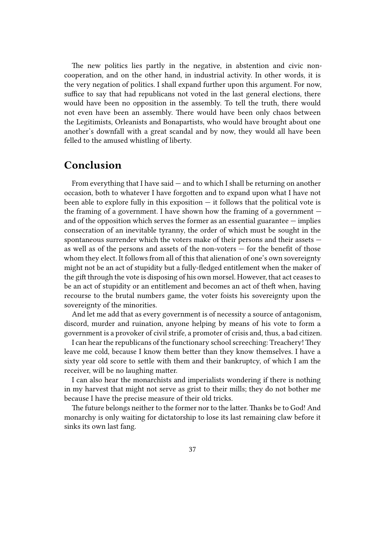The new politics lies partly in the negative, in abstention and civic noncooperation, and on the other hand, in industrial activity. In other words, it is the very negation of politics. I shall expand further upon this argument. For now, suffice to say that had republicans not voted in the last general elections, there would have been no opposition in the assembly. To tell the truth, there would not even have been an assembly. There would have been only chaos between the Legitimists, Orleanists and Bonapartists, who would have brought about one another's downfall with a great scandal and by now, they would all have been felled to the amused whistling of liberty.

### <span id="page-36-0"></span>**Conclusion**

From everything that I have said — and to which I shall be returning on another occasion, both to whatever I have forgotten and to expand upon what I have not been able to explore fully in this exposition  $-$  it follows that the political vote is the framing of a government. I have shown how the framing of a government and of the opposition which serves the former as an essential guarantee  $-$  implies consecration of an inevitable tyranny, the order of which must be sought in the spontaneous surrender which the voters make of their persons and their assets as well as of the persons and assets of the non-voters — for the benefit of those whom they elect. It follows from all of this that alienation of one's own sovereignty might not be an act of stupidity but a fully-fledged entitlement when the maker of the gift through the vote is disposing of his own morsel. However, that act ceases to be an act of stupidity or an entitlement and becomes an act of theft when, having recourse to the brutal numbers game, the voter foists his sovereignty upon the sovereignty of the minorities.

And let me add that as every government is of necessity a source of antagonism, discord, murder and ruination, anyone helping by means of his vote to form a government is a provoker of civil strife, a promoter of crisis and, thus, a bad citizen.

I can hear the republicans of the functionary school screeching: Treachery! They leave me cold, because I know them better than they know themselves. I have a sixty year old score to settle with them and their bankruptcy, of which I am the receiver, will be no laughing matter.

I can also hear the monarchists and imperialists wondering if there is nothing in my harvest that might not serve as grist to their mills; they do not bother me because I have the precise measure of their old tricks.

The future belongs neither to the former nor to the latter. Thanks be to God! And monarchy is only waiting for dictatorship to lose its last remaining claw before it sinks its own last fang.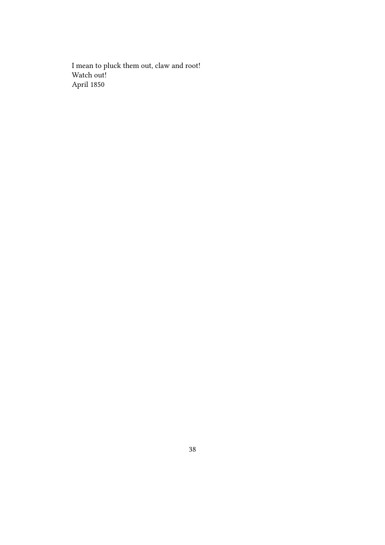I mean to pluck them out, claw and root! Watch out! April 1850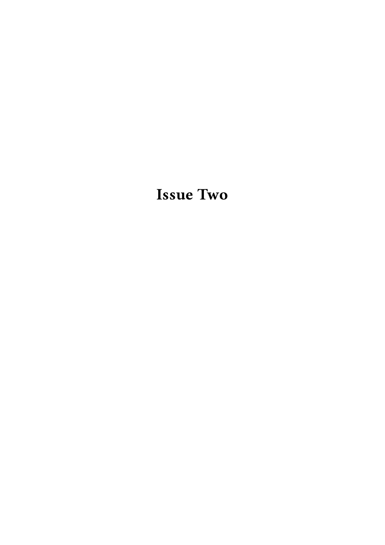## <span id="page-38-0"></span>**Issue Two**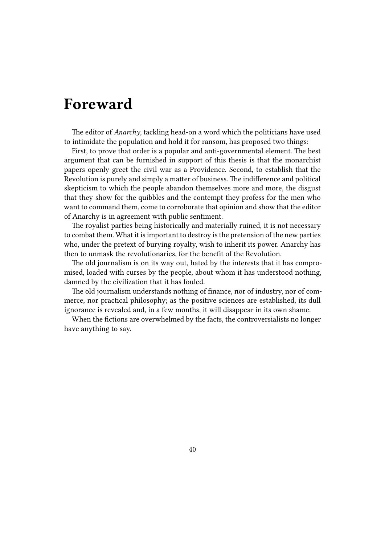### <span id="page-39-0"></span>**Foreward**

The editor of *Anarchy*, tackling head-on a word which the politicians have used to intimidate the population and hold it for ransom, has proposed two things:

First, to prove that order is a popular and anti-governmental element. The best argument that can be furnished in support of this thesis is that the monarchist papers openly greet the civil war as a Providence. Second, to establish that the Revolution is purely and simply a matter of business. The indifference and political skepticism to which the people abandon themselves more and more, the disgust that they show for the quibbles and the contempt they profess for the men who want to command them, come to corroborate that opinion and show that the editor of Anarchy is in agreement with public sentiment.

The royalist parties being historically and materially ruined, it is not necessary to combat them. What it is important to destroy is the pretension of the new parties who, under the pretext of burying royalty, wish to inherit its power. Anarchy has then to unmask the revolutionaries, for the benefit of the Revolution.

The old journalism is on its way out, hated by the interests that it has compromised, loaded with curses by the people, about whom it has understood nothing, damned by the civilization that it has fouled.

The old journalism understands nothing of finance, nor of industry, nor of commerce, nor practical philosophy; as the positive sciences are established, its dull ignorance is revealed and, in a few months, it will disappear in its own shame.

When the fictions are overwhelmed by the facts, the controversialists no longer have anything to say.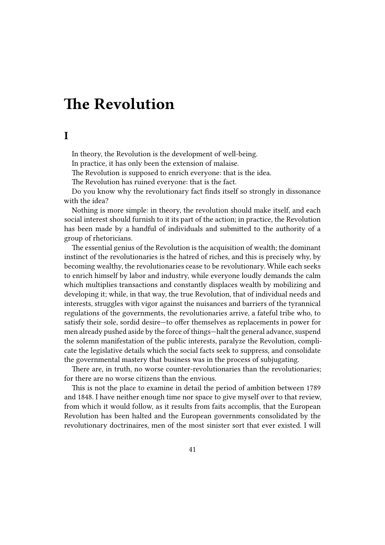## <span id="page-40-0"></span>**The Revolution**

<span id="page-40-1"></span>

|    | ۰. |
|----|----|
|    |    |
|    |    |
| __ |    |

In theory, the Revolution is the development of well-being.

In practice, it has only been the extension of malaise.

The Revolution is supposed to enrich everyone: that is the idea.

The Revolution has ruined everyone: that is the fact.

Do you know why the revolutionary fact finds itself so strongly in dissonance with the idea?

Nothing is more simple: in theory, the revolution should make itself, and each social interest should furnish to it its part of the action; in practice, the Revolution has been made by a handful of individuals and submitted to the authority of a group of rhetoricians.

The essential genius of the Revolution is the acquisition of wealth; the dominant instinct of the revolutionaries is the hatred of riches, and this is precisely why, by becoming wealthy, the revolutionaries cease to be revolutionary. While each seeks to enrich himself by labor and industry, while everyone loudly demands the calm which multiplies transactions and constantly displaces wealth by mobilizing and developing it; while, in that way, the true Revolution, that of individual needs and interests, struggles with vigor against the nuisances and barriers of the tyrannical regulations of the governments, the revolutionaries arrive, a fateful tribe who, to satisfy their sole, sordid desire—to offer themselves as replacements in power for men already pushed aside by the force of things—halt the general advance, suspend the solemn manifestation of the public interests, paralyze the Revolution, complicate the legislative details which the social facts seek to suppress, and consolidate the governmental mastery that business was in the process of subjugating.

There are, in truth, no worse counter-revolutionaries than the revolutionaries; for there are no worse citizens than the envious.

This is not the place to examine in detail the period of ambition between 1789 and 1848. I have neither enough time nor space to give myself over to that review, from which it would follow, as it results from faits accomplis, that the European Revolution has been halted and the European governments consolidated by the revolutionary doctrinaires, men of the most sinister sort that ever existed. I will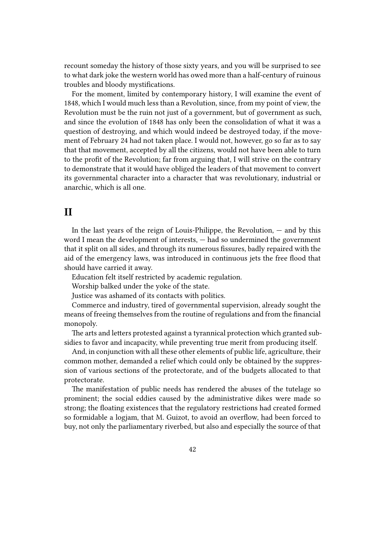recount someday the history of those sixty years, and you will be surprised to see to what dark joke the western world has owed more than a half-century of ruinous troubles and bloody mystifications.

For the moment, limited by contemporary history, I will examine the event of 1848, which I would much less than a Revolution, since, from my point of view, the Revolution must be the ruin not just of a government, but of government as such, and since the evolution of 1848 has only been the consolidation of what it was a question of destroying, and which would indeed be destroyed today, if the movement of February 24 had not taken place. I would not, however, go so far as to say that that movement, accepted by all the citizens, would not have been able to turn to the profit of the Revolution; far from arguing that, I will strive on the contrary to demonstrate that it would have obliged the leaders of that movement to convert its governmental character into a character that was revolutionary, industrial or anarchic, which is all one.

### <span id="page-41-0"></span>**II**

In the last years of the reign of Louis-Philippe, the Revolution, — and by this word I mean the development of interests, — had so undermined the government that it split on all sides, and through its numerous fissures, badly repaired with the aid of the emergency laws, was introduced in continuous jets the free flood that should have carried it away.

Education felt itself restricted by academic regulation.

Worship balked under the yoke of the state.

Justice was ashamed of its contacts with politics.

Commerce and industry, tired of governmental supervision, already sought the means of freeing themselves from the routine of regulations and from the financial monopoly.

The arts and letters protested against a tyrannical protection which granted subsidies to favor and incapacity, while preventing true merit from producing itself.

And, in conjunction with all these other elements of public life, agriculture, their common mother, demanded a relief which could only be obtained by the suppression of various sections of the protectorate, and of the budgets allocated to that protectorate.

The manifestation of public needs has rendered the abuses of the tutelage so prominent; the social eddies caused by the administrative dikes were made so strong; the floating existences that the regulatory restrictions had created formed so formidable a logjam, that M. Guizot, to avoid an overflow, had been forced to buy, not only the parliamentary riverbed, but also and especially the source of that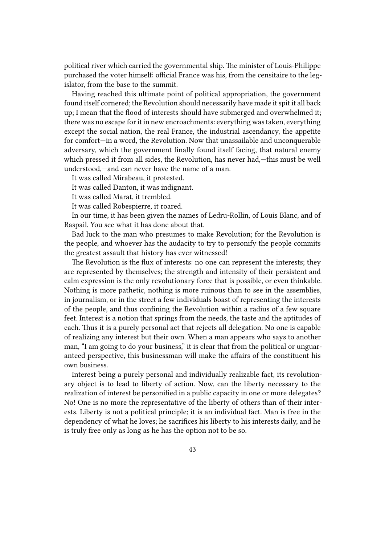political river which carried the governmental ship. The minister of Louis-Philippe purchased the voter himself: official France was his, from the censitaire to the legislator, from the base to the summit.

Having reached this ultimate point of political appropriation, the government found itself cornered; the Revolution should necessarily have made it spit it all back up; I mean that the flood of interests should have submerged and overwhelmed it; there was no escape for it in new encroachments: everything was taken, everything except the social nation, the real France, the industrial ascendancy, the appetite for comfort—in a word, the Revolution. Now that unassailable and unconquerable adversary, which the government finally found itself facing, that natural enemy which pressed it from all sides, the Revolution, has never had,—this must be well understood,—and can never have the name of a man.

It was called Mirabeau, it protested.

It was called Danton, it was indignant.

It was called Marat, it trembled.

It was called Robespierre, it roared.

In our time, it has been given the names of Ledru-Rollin, of Louis Blanc, and of Raspail. You see what it has done about that.

Bad luck to the man who presumes to make Revolution; for the Revolution is the people, and whoever has the audacity to try to personify the people commits the greatest assault that history has ever witnessed!

The Revolution is the flux of interests: no one can represent the interests; they are represented by themselves; the strength and intensity of their persistent and calm expression is the only revolutionary force that is possible, or even thinkable. Nothing is more pathetic, nothing is more ruinous than to see in the assemblies, in journalism, or in the street a few individuals boast of representing the interests of the people, and thus confining the Revolution within a radius of a few square feet. Interest is a notion that springs from the needs, the taste and the aptitudes of each. Thus it is a purely personal act that rejects all delegation. No one is capable of realizing any interest but their own. When a man appears who says to another man, "I am going to do your business," it is clear that from the political or unguaranteed perspective, this businessman will make the affairs of the constituent his own business.

Interest being a purely personal and individually realizable fact, its revolutionary object is to lead to liberty of action. Now, can the liberty necessary to the realization of interest be personified in a public capacity in one or more delegates? No! One is no more the representative of the liberty of others than of their interests. Liberty is not a political principle; it is an individual fact. Man is free in the dependency of what he loves; he sacrifices his liberty to his interests daily, and he is truly free only as long as he has the option not to be so.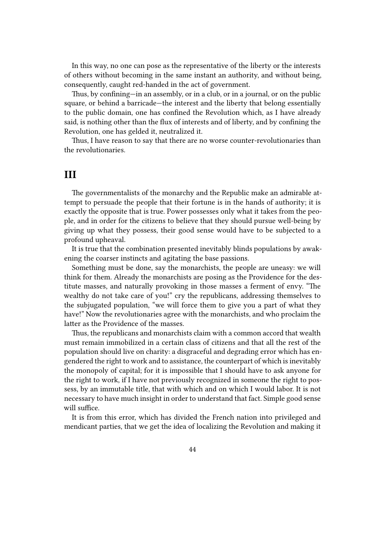In this way, no one can pose as the representative of the liberty or the interests of others without becoming in the same instant an authority, and without being, consequently, caught red-handed in the act of government.

Thus, by confining—in an assembly, or in a club, or in a journal, or on the public square, or behind a barricade—the interest and the liberty that belong essentially to the public domain, one has confined the Revolution which, as I have already said, is nothing other than the flux of interests and of liberty, and by confining the Revolution, one has gelded it, neutralized it.

Thus, I have reason to say that there are no worse counter-revolutionaries than the revolutionaries.

#### **III**

The governmentalists of the monarchy and the Republic make an admirable attempt to persuade the people that their fortune is in the hands of authority; it is exactly the opposite that is true. Power possesses only what it takes from the people, and in order for the citizens to believe that they should pursue well-being by giving up what they possess, their good sense would have to be subjected to a profound upheaval.

It is true that the combination presented inevitably blinds populations by awakening the coarser instincts and agitating the base passions.

Something must be done, say the monarchists, the people are uneasy: we will think for them. Already the monarchists are posing as the Providence for the destitute masses, and naturally provoking in those masses a ferment of envy. "The wealthy do not take care of you!" cry the republicans, addressing themselves to the subjugated population, "we will force them to give you a part of what they have!" Now the revolutionaries agree with the monarchists, and who proclaim the latter as the Providence of the masses.

Thus, the republicans and monarchists claim with a common accord that wealth must remain immobilized in a certain class of citizens and that all the rest of the population should live on charity: a disgraceful and degrading error which has engendered the right to work and to assistance, the counterpart of which is inevitably the monopoly of capital; for it is impossible that I should have to ask anyone for the right to work, if I have not previously recognized in someone the right to possess, by an immutable title, that with which and on which I would labor. It is not necessary to have much insight in order to understand that fact. Simple good sense will suffice.

It is from this error, which has divided the French nation into privileged and mendicant parties, that we get the idea of localizing the Revolution and making it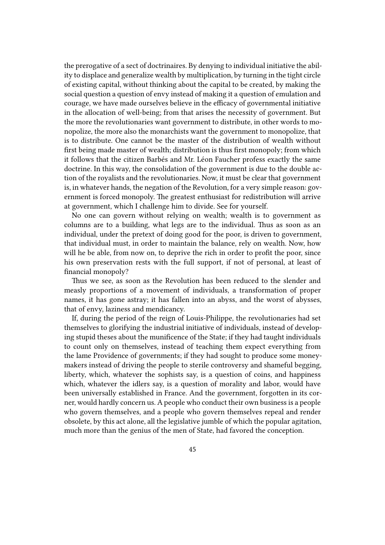the prerogative of a sect of doctrinaires. By denying to individual initiative the ability to displace and generalize wealth by multiplication, by turning in the tight circle of existing capital, without thinking about the capital to be created, by making the social question a question of envy instead of making it a question of emulation and courage, we have made ourselves believe in the efficacy of governmental initiative in the allocation of well-being; from that arises the necessity of government. But the more the revolutionaries want government to distribute, in other words to monopolize, the more also the monarchists want the government to monopolize, that is to distribute. One cannot be the master of the distribution of wealth without first being made master of wealth; distribution is thus first monopoly; from which it follows that the citizen Barbés and Mr. Léon Faucher profess exactly the same doctrine. In this way, the consolidation of the government is due to the double action of the royalists and the revolutionaries. Now, it must be clear that government is, in whatever hands, the negation of the Revolution, for a very simple reason: government is forced monopoly. The greatest enthusiast for redistribution will arrive at government, which I challenge him to divide. See for yourself.

No one can govern without relying on wealth; wealth is to government as columns are to a building, what legs are to the individual. Thus as soon as an individual, under the pretext of doing good for the poor, is driven to government, that individual must, in order to maintain the balance, rely on wealth. Now, how will he be able, from now on, to deprive the rich in order to profit the poor, since his own preservation rests with the full support, if not of personal, at least of financial monopoly?

Thus we see, as soon as the Revolution has been reduced to the slender and measly proportions of a movement of individuals, a transformation of proper names, it has gone astray; it has fallen into an abyss, and the worst of abysses, that of envy, laziness and mendicancy.

If, during the period of the reign of Louis-Philippe, the revolutionaries had set themselves to glorifying the industrial initiative of individuals, instead of developing stupid theses about the munificence of the State; if they had taught individuals to count only on themselves, instead of teaching them expect everything from the lame Providence of governments; if they had sought to produce some moneymakers instead of driving the people to sterile controversy and shameful begging, liberty, which, whatever the sophists say, is a question of coins, and happiness which, whatever the idlers say, is a question of morality and labor, would have been universally established in France. And the government, forgotten in its corner, would hardly concern us. A people who conduct their own business is a people who govern themselves, and a people who govern themselves repeal and render obsolete, by this act alone, all the legislative jumble of which the popular agitation, much more than the genius of the men of State, had favored the conception.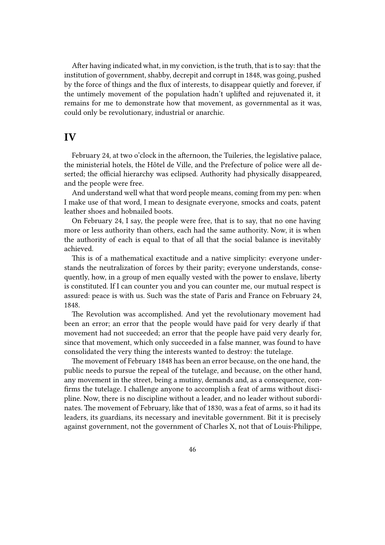After having indicated what, in my conviction, is the truth, that is to say: that the institution of government, shabby, decrepit and corrupt in 1848, was going, pushed by the force of things and the flux of interests, to disappear quietly and forever, if the untimely movement of the population hadn't uplifted and rejuvenated it, it remains for me to demonstrate how that movement, as governmental as it was, could only be revolutionary, industrial or anarchic.

#### **IV**

February 24, at two o'clock in the afternoon, the Tuileries, the legislative palace, the ministerial hotels, the Hôtel de Ville, and the Prefecture of police were all deserted; the official hierarchy was eclipsed. Authority had physically disappeared, and the people were free.

And understand well what that word people means, coming from my pen: when I make use of that word, I mean to designate everyone, smocks and coats, patent leather shoes and hobnailed boots.

On February 24, I say, the people were free, that is to say, that no one having more or less authority than others, each had the same authority. Now, it is when the authority of each is equal to that of all that the social balance is inevitably achieved.

This is of a mathematical exactitude and a native simplicity: everyone understands the neutralization of forces by their parity; everyone understands, consequently, how, in a group of men equally vested with the power to enslave, liberty is constituted. If I can counter you and you can counter me, our mutual respect is assured: peace is with us. Such was the state of Paris and France on February 24, 1848.

The Revolution was accomplished. And yet the revolutionary movement had been an error; an error that the people would have paid for very dearly if that movement had not succeeded; an error that the people have paid very dearly for, since that movement, which only succeeded in a false manner, was found to have consolidated the very thing the interests wanted to destroy: the tutelage.

The movement of February 1848 has been an error because, on the one hand, the public needs to pursue the repeal of the tutelage, and because, on the other hand, any movement in the street, being a mutiny, demands and, as a consequence, confirms the tutelage. I challenge anyone to accomplish a feat of arms without discipline. Now, there is no discipline without a leader, and no leader without subordinates. The movement of February, like that of 1830, was a feat of arms, so it had its leaders, its guardians, its necessary and inevitable government. Bit it is precisely against government, not the government of Charles X, not that of Louis-Philippe,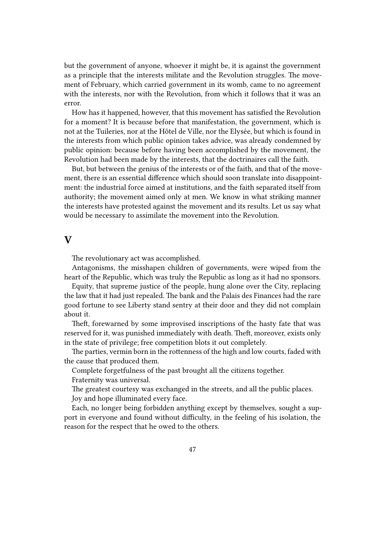but the government of anyone, whoever it might be, it is against the government as a principle that the interests militate and the Revolution struggles. The movement of February, which carried government in its womb, came to no agreement with the interests, nor with the Revolution, from which it follows that it was an error.

How has it happened, however, that this movement has satisfied the Revolution for a moment? It is because before that manifestation, the government, which is not at the Tuileries, nor at the Hôtel de Ville, nor the Elysée, but which is found in the interests from which public opinion takes advice, was already condemned by public opinion: because before having been accomplished by the movement, the Revolution had been made by the interests, that the doctrinaires call the faith.

But, but between the genius of the interests or of the faith, and that of the movement, there is an essential difference which should soon translate into disappointment: the industrial force aimed at institutions, and the faith separated itself from authority; the movement aimed only at men. We know in what striking manner the interests have protested against the movement and its results. Let us say what would be necessary to assimilate the movement into the Revolution.

#### **V**

The revolutionary act was accomplished.

Antagonisms, the misshapen children of governments, were wiped from the heart of the Republic, which was truly the Republic as long as it had no sponsors.

Equity, that supreme justice of the people, hung alone over the City, replacing the law that it had just repealed. The bank and the Palais des Finances had the rare good fortune to see Liberty stand sentry at their door and they did not complain about it.

Theft, forewarned by some improvised inscriptions of the hasty fate that was reserved for it, was punished immediately with death. Theft, moreover, exists only in the state of privilege; free competition blots it out completely.

The parties, vermin born in the rottenness of the high and low courts, faded with the cause that produced them.

Complete forgetfulness of the past brought all the citizens together.

Fraternity was universal.

The greatest courtesy was exchanged in the streets, and all the public places. Joy and hope illuminated every face.

Each, no longer being forbidden anything except by themselves, sought a support in everyone and found without difficulty, in the feeling of his isolation, the reason for the respect that he owed to the others.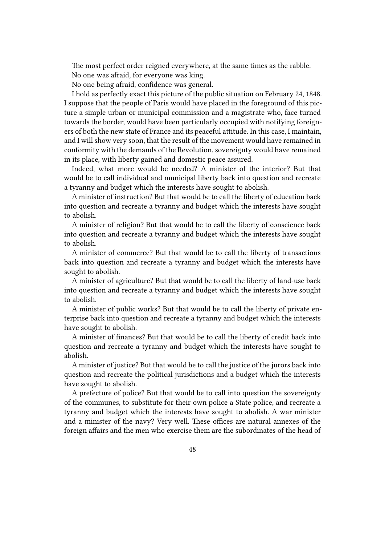The most perfect order reigned everywhere, at the same times as the rabble. No one was afraid, for everyone was king.

No one being afraid, confidence was general.

I hold as perfectly exact this picture of the public situation on February 24, 1848. I suppose that the people of Paris would have placed in the foreground of this picture a simple urban or municipal commission and a magistrate who, face turned towards the border, would have been particularly occupied with notifying foreigners of both the new state of France and its peaceful attitude. In this case, I maintain, and I will show very soon, that the result of the movement would have remained in conformity with the demands of the Revolution, sovereignty would have remained in its place, with liberty gained and domestic peace assured.

Indeed, what more would be needed? A minister of the interior? But that would be to call individual and municipal liberty back into question and recreate a tyranny and budget which the interests have sought to abolish.

A minister of instruction? But that would be to call the liberty of education back into question and recreate a tyranny and budget which the interests have sought to abolish.

A minister of religion? But that would be to call the liberty of conscience back into question and recreate a tyranny and budget which the interests have sought to abolish.

A minister of commerce? But that would be to call the liberty of transactions back into question and recreate a tyranny and budget which the interests have sought to abolish.

A minister of agriculture? But that would be to call the liberty of land-use back into question and recreate a tyranny and budget which the interests have sought to abolish.

A minister of public works? But that would be to call the liberty of private enterprise back into question and recreate a tyranny and budget which the interests have sought to abolish.

A minister of finances? But that would be to call the liberty of credit back into question and recreate a tyranny and budget which the interests have sought to abolish.

A minister of justice? But that would be to call the justice of the jurors back into question and recreate the political jurisdictions and a budget which the interests have sought to abolish.

A prefecture of police? But that would be to call into question the sovereignty of the communes, to substitute for their own police a State police, and recreate a tyranny and budget which the interests have sought to abolish. A war minister and a minister of the navy? Very well. These offices are natural annexes of the foreign affairs and the men who exercise them are the subordinates of the head of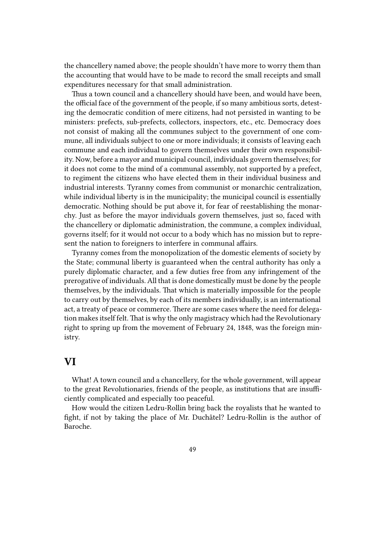the chancellery named above; the people shouldn't have more to worry them than the accounting that would have to be made to record the small receipts and small expenditures necessary for that small administration.

Thus a town council and a chancellery should have been, and would have been, the official face of the government of the people, if so many ambitious sorts, detesting the democratic condition of mere citizens, had not persisted in wanting to be ministers: prefects, sub-prefects, collectors, inspectors, etc., etc. Democracy does not consist of making all the communes subject to the government of one commune, all individuals subject to one or more individuals; it consists of leaving each commune and each individual to govern themselves under their own responsibility. Now, before a mayor and municipal council, individuals govern themselves; for it does not come to the mind of a communal assembly, not supported by a prefect, to regiment the citizens who have elected them in their individual business and industrial interests. Tyranny comes from communist or monarchic centralization, while individual liberty is in the municipality; the municipal council is essentially democratic. Nothing should be put above it, for fear of reestablishing the monarchy. Just as before the mayor individuals govern themselves, just so, faced with the chancellery or diplomatic administration, the commune, a complex individual, governs itself; for it would not occur to a body which has no mission but to represent the nation to foreigners to interfere in communal affairs.

Tyranny comes from the monopolization of the domestic elements of society by the State; communal liberty is guaranteed when the central authority has only a purely diplomatic character, and a few duties free from any infringement of the prerogative of individuals. All that is done domestically must be done by the people themselves, by the individuals. That which is materially impossible for the people to carry out by themselves, by each of its members individually, is an international act, a treaty of peace or commerce. There are some cases where the need for delegation makes itself felt. That is why the only magistracy which had the Revolutionary right to spring up from the movement of February 24, 1848, was the foreign ministry.

### <span id="page-48-0"></span>**VI**

What! A town council and a chancellery, for the whole government, will appear to the great Revolutionaries, friends of the people, as institutions that are insufficiently complicated and especially too peaceful.

How would the citizen Ledru-Rollin bring back the royalists that he wanted to fight, if not by taking the place of Mr. Duchâtel? Ledru-Rollin is the author of Baroche.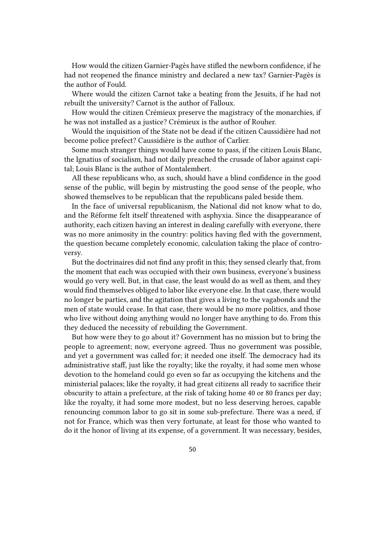How would the citizen Garnier-Pagès have stifled the newborn confidence, if he had not reopened the finance ministry and declared a new tax? Garnier-Pagès is the author of Fould.

Where would the citizen Carnot take a beating from the Jesuits, if he had not rebuilt the university? Carnot is the author of Falloux.

How would the citizen Crémieux preserve the magistracy of the monarchies, if he was not installed as a justice? Crémieux is the author of Rouher.

Would the inquisition of the State not be dead if the citizen Caussidière had not become police prefect? Caussidière is the author of Carlier.

Some much stranger things would have come to pass, if the citizen Louis Blanc, the Ignatius of socialism, had not daily preached the crusade of labor against capital; Louis Blanc is the author of Montalembert.

All these republicans who, as such, should have a blind confidence in the good sense of the public, will begin by mistrusting the good sense of the people, who showed themselves to be republican that the republicans paled beside them.

In the face of universal republicanism, the National did not know what to do, and the Réforme felt itself threatened with asphyxia. Since the disappearance of authority, each citizen having an interest in dealing carefully with everyone, there was no more animosity in the country: politics having fled with the government, the question became completely economic, calculation taking the place of controversy.

But the doctrinaires did not find any profit in this; they sensed clearly that, from the moment that each was occupied with their own business, everyone's business would go very well. But, in that case, the least would do as well as them, and they would find themselves obliged to labor like everyone else. In that case, there would no longer be parties, and the agitation that gives a living to the vagabonds and the men of state would cease. In that case, there would be no more politics, and those who live without doing anything would no longer have anything to do. From this they deduced the necessity of rebuilding the Government.

But how were they to go about it? Government has no mission but to bring the people to agreement; now, everyone agreed. Thus no government was possible, and yet a government was called for; it needed one itself. The democracy had its administrative staff, just like the royalty; like the royalty, it had some men whose devotion to the homeland could go even so far as occupying the kitchens and the ministerial palaces; like the royalty, it had great citizens all ready to sacrifice their obscurity to attain a prefecture, at the risk of taking home 40 or 80 francs per day; like the royalty, it had some more modest, but no less deserving heroes, capable renouncing common labor to go sit in some sub-prefecture. There was a need, if not for France, which was then very fortunate, at least for those who wanted to do it the honor of living at its expense, of a government. It was necessary, besides,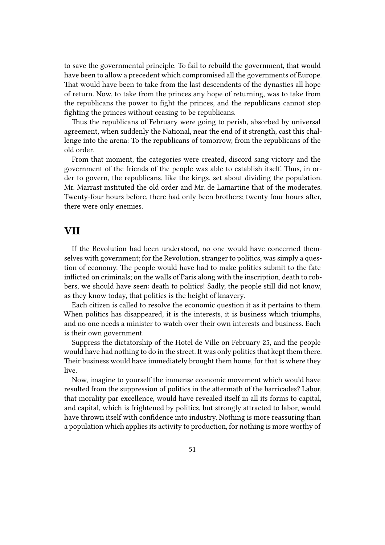to save the governmental principle. To fail to rebuild the government, that would have been to allow a precedent which compromised all the governments of Europe. That would have been to take from the last descendents of the dynasties all hope of return. Now, to take from the princes any hope of returning, was to take from the republicans the power to fight the princes, and the republicans cannot stop fighting the princes without ceasing to be republicans.

Thus the republicans of February were going to perish, absorbed by universal agreement, when suddenly the National, near the end of it strength, cast this challenge into the arena: To the republicans of tomorrow, from the republicans of the old order.

From that moment, the categories were created, discord sang victory and the government of the friends of the people was able to establish itself. Thus, in order to govern, the republicans, like the kings, set about dividing the population. Mr. Marrast instituted the old order and Mr. de Lamartine that of the moderates. Twenty-four hours before, there had only been brothers; twenty four hours after, there were only enemies.

### <span id="page-50-0"></span>**VII**

If the Revolution had been understood, no one would have concerned themselves with government; for the Revolution, stranger to politics, was simply a question of economy. The people would have had to make politics submit to the fate inflicted on criminals; on the walls of Paris along with the inscription, death to robbers, we should have seen: death to politics! Sadly, the people still did not know, as they know today, that politics is the height of knavery.

Each citizen is called to resolve the economic question it as it pertains to them. When politics has disappeared, it is the interests, it is business which triumphs, and no one needs a minister to watch over their own interests and business. Each is their own government.

Suppress the dictatorship of the Hotel de Ville on February 25, and the people would have had nothing to do in the street. It was only politics that kept them there. Their business would have immediately brought them home, for that is where they live.

Now, imagine to yourself the immense economic movement which would have resulted from the suppression of politics in the aftermath of the barricades? Labor, that morality par excellence, would have revealed itself in all its forms to capital, and capital, which is frightened by politics, but strongly attracted to labor, would have thrown itself with confidence into industry. Nothing is more reassuring than a population which applies its activity to production, for nothing is more worthy of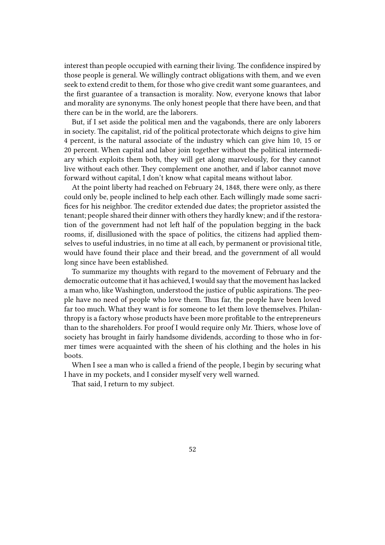interest than people occupied with earning their living. The confidence inspired by those people is general. We willingly contract obligations with them, and we even seek to extend credit to them, for those who give credit want some guarantees, and the first guarantee of a transaction is morality. Now, everyone knows that labor and morality are synonyms. The only honest people that there have been, and that there can be in the world, are the laborers.

But, if I set aside the political men and the vagabonds, there are only laborers in society. The capitalist, rid of the political protectorate which deigns to give him 4 percent, is the natural associate of the industry which can give him 10, 15 or 20 percent. When capital and labor join together without the political intermediary which exploits them both, they will get along marvelously, for they cannot live without each other. They complement one another, and if labor cannot move forward without capital, I don't know what capital means without labor.

At the point liberty had reached on February 24, 1848, there were only, as there could only be, people inclined to help each other. Each willingly made some sacrifices for his neighbor. The creditor extended due dates; the proprietor assisted the tenant; people shared their dinner with others they hardly knew; and if the restoration of the government had not left half of the population begging in the back rooms, if, disillusioned with the space of politics, the citizens had applied themselves to useful industries, in no time at all each, by permanent or provisional title, would have found their place and their bread, and the government of all would long since have been established.

To summarize my thoughts with regard to the movement of February and the democratic outcome that it has achieved, I would say that the movement has lacked a man who, like Washington, understood the justice of public aspirations. The people have no need of people who love them. Thus far, the people have been loved far too much. What they want is for someone to let them love themselves. Philanthropy is a factory whose products have been more profitable to the entrepreneurs than to the shareholders. For proof I would require only Mr. Thiers, whose love of society has brought in fairly handsome dividends, according to those who in former times were acquainted with the sheen of his clothing and the holes in his boots.

When I see a man who is called a friend of the people, I begin by securing what I have in my pockets, and I consider myself very well warned.

That said, I return to my subject.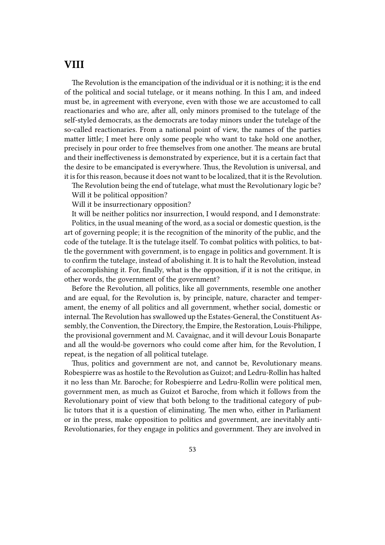### <span id="page-52-0"></span>**VIII**

The Revolution is the emancipation of the individual or it is nothing; it is the end of the political and social tutelage, or it means nothing. In this I am, and indeed must be, in agreement with everyone, even with those we are accustomed to call reactionaries and who are, after all, only minors promised to the tutelage of the self-styled democrats, as the democrats are today minors under the tutelage of the so-called reactionaries. From a national point of view, the names of the parties matter little; I meet here only some people who want to take hold one another, precisely in pour order to free themselves from one another. The means are brutal and their ineffectiveness is demonstrated by experience, but it is a certain fact that the desire to be emancipated is everywhere. Thus, the Revolution is universal, and it is for this reason, because it does not want to be localized, that it is the Revolution.

The Revolution being the end of tutelage, what must the Revolutionary logic be?

Will it be political opposition?

Will it be insurrectionary opposition?

It will be neither politics nor insurrection, I would respond, and I demonstrate: Politics, in the usual meaning of the word, as a social or domestic question, is the art of governing people; it is the recognition of the minority of the public, and the code of the tutelage. It is the tutelage itself. To combat politics with politics, to battle the government with government, is to engage in politics and government. It is to confirm the tutelage, instead of abolishing it. It is to halt the Revolution, instead of accomplishing it. For, finally, what is the opposition, if it is not the critique, in other words, the government of the government?

Before the Revolution, all politics, like all governments, resemble one another and are equal, for the Revolution is, by principle, nature, character and temperament, the enemy of all politics and all government, whether social, domestic or internal. The Revolution has swallowed up the Estates-General, the Constituent Assembly, the Convention, the Directory, the Empire, the Restoration, Louis-Philippe, the provisional government and M. Cavaignac, and it will devour Louis Bonaparte and all the would-be governors who could come after him, for the Revolution, I repeat, is the negation of all political tutelage.

Thus, politics and government are not, and cannot be, Revolutionary means. Robespierre was as hostile to the Revolution as Guizot; and Ledru-Rollin has halted it no less than Mr. Baroche; for Robespierre and Ledru-Rollin were political men, government men, as much as Guizot et Baroche, from which it follows from the Revolutionary point of view that both belong to the traditional category of public tutors that it is a question of eliminating. The men who, either in Parliament or in the press, make opposition to politics and government, are inevitably anti-Revolutionaries, for they engage in politics and government. They are involved in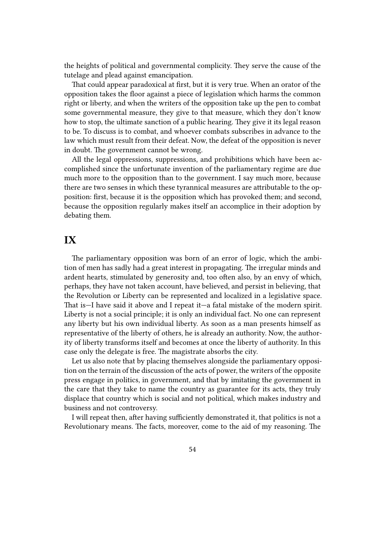the heights of political and governmental complicity. They serve the cause of the tutelage and plead against emancipation.

That could appear paradoxical at first, but it is very true. When an orator of the opposition takes the floor against a piece of legislation which harms the common right or liberty, and when the writers of the opposition take up the pen to combat some governmental measure, they give to that measure, which they don't know how to stop, the ultimate sanction of a public hearing. They give it its legal reason to be. To discuss is to combat, and whoever combats subscribes in advance to the law which must result from their defeat. Now, the defeat of the opposition is never in doubt. The government cannot be wrong.

All the legal oppressions, suppressions, and prohibitions which have been accomplished since the unfortunate invention of the parliamentary regime are due much more to the opposition than to the government. I say much more, because there are two senses in which these tyrannical measures are attributable to the opposition: first, because it is the opposition which has provoked them; and second, because the opposition regularly makes itself an accomplice in their adoption by debating them.

### <span id="page-53-0"></span>**IX**

The parliamentary opposition was born of an error of logic, which the ambition of men has sadly had a great interest in propagating. The irregular minds and ardent hearts, stimulated by generosity and, too often also, by an envy of which, perhaps, they have not taken account, have believed, and persist in believing, that the Revolution or Liberty can be represented and localized in a legislative space. That is—I have said it above and I repeat it—a fatal mistake of the modern spirit. Liberty is not a social principle; it is only an individual fact. No one can represent any liberty but his own individual liberty. As soon as a man presents himself as representative of the liberty of others, he is already an authority. Now, the authority of liberty transforms itself and becomes at once the liberty of authority. In this case only the delegate is free. The magistrate absorbs the city.

Let us also note that by placing themselves alongside the parliamentary opposition on the terrain of the discussion of the acts of power, the writers of the opposite press engage in politics, in government, and that by imitating the government in the care that they take to name the country as guarantee for its acts, they truly displace that country which is social and not political, which makes industry and business and not controversy.

I will repeat then, after having sufficiently demonstrated it, that politics is not a Revolutionary means. The facts, moreover, come to the aid of my reasoning. The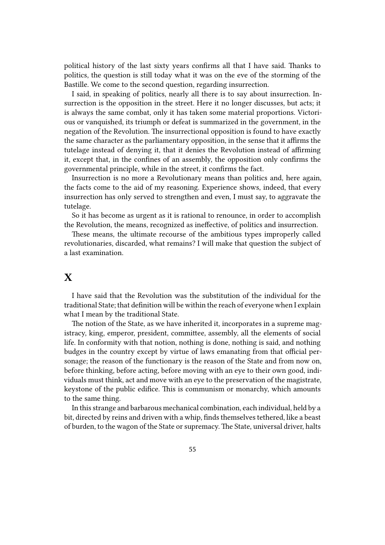political history of the last sixty years confirms all that I have said. Thanks to politics, the question is still today what it was on the eve of the storming of the Bastille. We come to the second question, regarding insurrection.

I said, in speaking of politics, nearly all there is to say about insurrection. Insurrection is the opposition in the street. Here it no longer discusses, but acts; it is always the same combat, only it has taken some material proportions. Victorious or vanquished, its triumph or defeat is summarized in the government, in the negation of the Revolution. The insurrectional opposition is found to have exactly the same character as the parliamentary opposition, in the sense that it affirms the tutelage instead of denying it, that it denies the Revolution instead of affirming it, except that, in the confines of an assembly, the opposition only confirms the governmental principle, while in the street, it confirms the fact.

Insurrection is no more a Revolutionary means than politics and, here again, the facts come to the aid of my reasoning. Experience shows, indeed, that every insurrection has only served to strengthen and even, I must say, to aggravate the tutelage.

So it has become as urgent as it is rational to renounce, in order to accomplish the Revolution, the means, recognized as ineffective, of politics and insurrection.

These means, the ultimate recourse of the ambitious types improperly called revolutionaries, discarded, what remains? I will make that question the subject of a last examination.

### <span id="page-54-0"></span>**X**

I have said that the Revolution was the substitution of the individual for the traditional State; that definition will be within the reach of everyone when I explain what I mean by the traditional State.

The notion of the State, as we have inherited it, incorporates in a supreme magistracy, king, emperor, president, committee, assembly, all the elements of social life. In conformity with that notion, nothing is done, nothing is said, and nothing budges in the country except by virtue of laws emanating from that official personage; the reason of the functionary is the reason of the State and from now on, before thinking, before acting, before moving with an eye to their own good, individuals must think, act and move with an eye to the preservation of the magistrate, keystone of the public edifice. This is communism or monarchy, which amounts to the same thing.

In this strange and barbarous mechanical combination, each individual, held by a bit, directed by reins and driven with a whip, finds themselves tethered, like a beast of burden, to the wagon of the State or supremacy. The State, universal driver, halts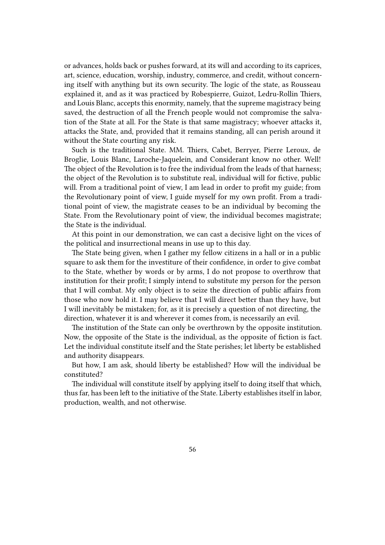or advances, holds back or pushes forward, at its will and according to its caprices, art, science, education, worship, industry, commerce, and credit, without concerning itself with anything but its own security. The logic of the state, as Rousseau explained it, and as it was practiced by Robespierre, Guizot, Ledru-Rollin Thiers, and Louis Blanc, accepts this enormity, namely, that the supreme magistracy being saved, the destruction of all the French people would not compromise the salvation of the State at all. For the State is that same magistracy; whoever attacks it, attacks the State, and, provided that it remains standing, all can perish around it without the State courting any risk.

Such is the traditional State. MM. Thiers, Cabet, Berryer, Pierre Leroux, de Broglie, Louis Blanc, Laroche-Jaquelein, and Considerant know no other. Well! The object of the Revolution is to free the individual from the leads of that harness; the object of the Revolution is to substitute real, individual will for fictive, public will. From a traditional point of view, I am lead in order to profit my guide; from the Revolutionary point of view, I guide myself for my own profit. From a traditional point of view, the magistrate ceases to be an individual by becoming the State. From the Revolutionary point of view, the individual becomes magistrate; the State is the individual.

At this point in our demonstration, we can cast a decisive light on the vices of the political and insurrectional means in use up to this day.

The State being given, when I gather my fellow citizens in a hall or in a public square to ask them for the investiture of their confidence, in order to give combat to the State, whether by words or by arms, I do not propose to overthrow that institution for their profit; I simply intend to substitute my person for the person that I will combat. My only object is to seize the direction of public affairs from those who now hold it. I may believe that I will direct better than they have, but I will inevitably be mistaken; for, as it is precisely a question of not directing, the direction, whatever it is and wherever it comes from, is necessarily an evil.

The institution of the State can only be overthrown by the opposite institution. Now, the opposite of the State is the individual, as the opposite of fiction is fact. Let the individual constitute itself and the State perishes; let liberty be established and authority disappears.

But how, I am ask, should liberty be established? How will the individual be constituted?

The individual will constitute itself by applying itself to doing itself that which, thus far, has been left to the initiative of the State. Liberty establishes itself in labor, production, wealth, and not otherwise.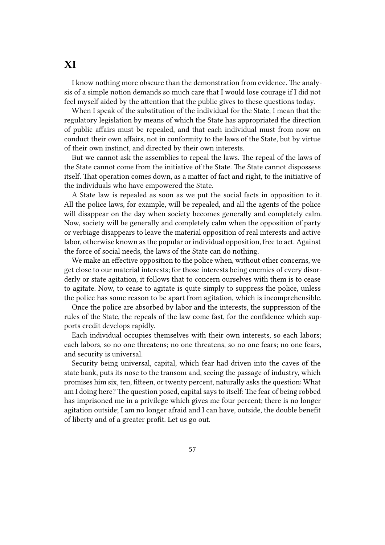### <span id="page-56-0"></span>**XI**

I know nothing more obscure than the demonstration from evidence. The analysis of a simple notion demands so much care that I would lose courage if I did not feel myself aided by the attention that the public gives to these questions today.

When I speak of the substitution of the individual for the State, I mean that the regulatory legislation by means of which the State has appropriated the direction of public affairs must be repealed, and that each individual must from now on conduct their own affairs, not in conformity to the laws of the State, but by virtue of their own instinct, and directed by their own interests.

But we cannot ask the assemblies to repeal the laws. The repeal of the laws of the State cannot come from the initiative of the State. The State cannot dispossess itself. That operation comes down, as a matter of fact and right, to the initiative of the individuals who have empowered the State.

A State law is repealed as soon as we put the social facts in opposition to it. All the police laws, for example, will be repealed, and all the agents of the police will disappear on the day when society becomes generally and completely calm. Now, society will be generally and completely calm when the opposition of party or verbiage disappears to leave the material opposition of real interests and active labor, otherwise known as the popular or individual opposition, free to act. Against the force of social needs, the laws of the State can do nothing.

We make an effective opposition to the police when, without other concerns, we get close to our material interests; for those interests being enemies of every disorderly or state agitation, it follows that to concern ourselves with them is to cease to agitate. Now, to cease to agitate is quite simply to suppress the police, unless the police has some reason to be apart from agitation, which is incomprehensible.

Once the police are absorbed by labor and the interests, the suppression of the rules of the State, the repeals of the law come fast, for the confidence which supports credit develops rapidly.

Each individual occupies themselves with their own interests, so each labors; each labors, so no one threatens; no one threatens, so no one fears; no one fears, and security is universal.

Security being universal, capital, which fear had driven into the caves of the state bank, puts its nose to the transom and, seeing the passage of industry, which promises him six, ten, fifteen, or twenty percent, naturally asks the question: What am I doing here? The question posed, capital says to itself: The fear of being robbed has imprisoned me in a privilege which gives me four percent; there is no longer agitation outside; I am no longer afraid and I can have, outside, the double benefit of liberty and of a greater profit. Let us go out.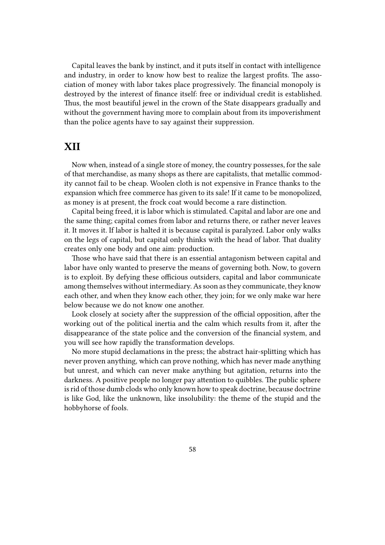Capital leaves the bank by instinct, and it puts itself in contact with intelligence and industry, in order to know how best to realize the largest profits. The association of money with labor takes place progressively. The financial monopoly is destroyed by the interest of finance itself: free or individual credit is established. Thus, the most beautiful jewel in the crown of the State disappears gradually and without the government having more to complain about from its impoverishment than the police agents have to say against their suppression.

### <span id="page-57-0"></span>**XII**

Now when, instead of a single store of money, the country possesses, for the sale of that merchandise, as many shops as there are capitalists, that metallic commodity cannot fail to be cheap. Woolen cloth is not expensive in France thanks to the expansion which free commerce has given to its sale! If it came to be monopolized, as money is at present, the frock coat would become a rare distinction.

Capital being freed, it is labor which is stimulated. Capital and labor are one and the same thing; capital comes from labor and returns there, or rather never leaves it. It moves it. If labor is halted it is because capital is paralyzed. Labor only walks on the legs of capital, but capital only thinks with the head of labor. That duality creates only one body and one aim: production.

Those who have said that there is an essential antagonism between capital and labor have only wanted to preserve the means of governing both. Now, to govern is to exploit. By defying these officious outsiders, capital and labor communicate among themselves without intermediary. As soon as they communicate, they know each other, and when they know each other, they join; for we only make war here below because we do not know one another.

Look closely at society after the suppression of the official opposition, after the working out of the political inertia and the calm which results from it, after the disappearance of the state police and the conversion of the financial system, and you will see how rapidly the transformation develops.

No more stupid declamations in the press; the abstract hair-splitting which has never proven anything, which can prove nothing, which has never made anything but unrest, and which can never make anything but agitation, returns into the darkness. A positive people no longer pay attention to quibbles. The public sphere is rid of those dumb clods who only known how to speak doctrine, because doctrine is like God, like the unknown, like insolubility: the theme of the stupid and the hobbyhorse of fools.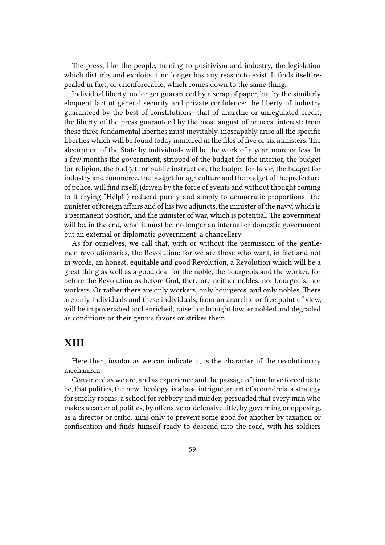The press, like the people, turning to positivism and industry, the legislation which disturbs and exploits it no longer has any reason to exist. It finds itself repealed in fact, or unenforceable, which comes down to the same thing.

Individual liberty, no longer guaranteed by a scrap of paper, but by the similarly eloquent fact of general security and private confidence; the liberty of industry guaranteed by the best of constitutions—that of anarchic or unregulated credit; the liberty of the press guaranteed by the most august of princes: interest: from these three fundamental liberties must inevitably, inescapably arise all the specific liberties which will be found today immured in the files of five or six ministers. The absorption of the State by individuals will be the work of a year, more or less. In a few months the government, stripped of the budget for the interior, the budget for religion, the budget for public instruction, the budget for labor, the budget for industry and commerce, the budget for agriculture and the budget of the prefecture of police, will find itself, (driven by the force of events and without thought coming to it crying "Help!") reduced purely and simply to democratic proportions—the minister of foreign affairs and of his two adjuncts, the minister of the navy, which is a permanent position, and the minister of war, which is potential. The government will be, in the end, what it must be, no longer an internal or domestic government but an external or diplomatic government: a chancellery.

As for ourselves, we call that, with or without the permission of the gentlemen revolutionaries, the Revolution: for we are those who want, in fact and not in words, an honest, equitable and good Revolution, a Revolution which will be a great thing as well as a good deal for the noble, the bourgeois and the worker, for before the Revolution as before God, there are neither nobles, nor bourgeois, nor workers. Or rather there are only workers, only bourgeois, and only nobles. There are only individuals and these individuals, from an anarchic or free point of view, will be impoverished and enriched, raised or brought low, ennobled and degraded as conditions or their genius favors or strikes them.

### <span id="page-58-0"></span>**XIII**

Here then, insofar as we can indicate it, is the character of the revolutionary mechanism:

Convinced as we are, and as experience and the passage of time have forced us to be, that politics, the new theology, is a base intrigue, an art of scoundrels, a strategy for smoky rooms, a school for robbery and murder; persuaded that every man who makes a career of politics, by offensive or defensive title, by governing or opposing, as a director or critic, aims only to prevent some good for another by taxation or confiscation and finds himself ready to descend into the road, with his soldiers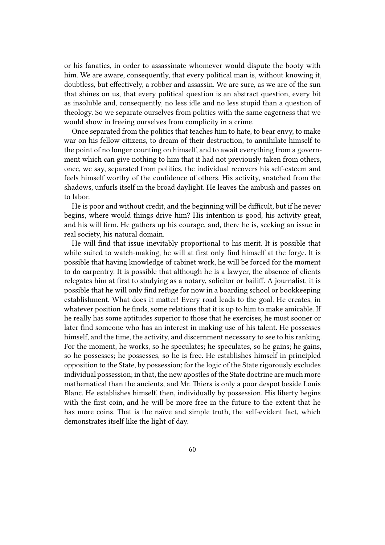or his fanatics, in order to assassinate whomever would dispute the booty with him. We are aware, consequently, that every political man is, without knowing it, doubtless, but effectively, a robber and assassin. We are sure, as we are of the sun that shines on us, that every political question is an abstract question, every bit as insoluble and, consequently, no less idle and no less stupid than a question of theology. So we separate ourselves from politics with the same eagerness that we would show in freeing ourselves from complicity in a crime.

Once separated from the politics that teaches him to hate, to bear envy, to make war on his fellow citizens, to dream of their destruction, to annihilate himself to the point of no longer counting on himself, and to await everything from a government which can give nothing to him that it had not previously taken from others, once, we say, separated from politics, the individual recovers his self-esteem and feels himself worthy of the confidence of others. His activity, snatched from the shadows, unfurls itself in the broad daylight. He leaves the ambush and passes on to labor.

He is poor and without credit, and the beginning will be difficult, but if he never begins, where would things drive him? His intention is good, his activity great, and his will firm. He gathers up his courage, and, there he is, seeking an issue in real society, his natural domain.

He will find that issue inevitably proportional to his merit. It is possible that while suited to watch-making, he will at first only find himself at the forge. It is possible that having knowledge of cabinet work, he will be forced for the moment to do carpentry. It is possible that although he is a lawyer, the absence of clients relegates him at first to studying as a notary, solicitor or bailiff. A journalist, it is possible that he will only find refuge for now in a boarding school or bookkeeping establishment. What does it matter! Every road leads to the goal. He creates, in whatever position he finds, some relations that it is up to him to make amicable. If he really has some aptitudes superior to those that he exercises, he must sooner or later find someone who has an interest in making use of his talent. He possesses himself, and the time, the activity, and discernment necessary to see to his ranking. For the moment, he works, so he speculates; he speculates, so he gains; he gains, so he possesses; he possesses, so he is free. He establishes himself in principled opposition to the State, by possession; for the logic of the State rigorously excludes individual possession; in that, the new apostles of the State doctrine are much more mathematical than the ancients, and Mr. Thiers is only a poor despot beside Louis Blanc. He establishes himself, then, individually by possession. His liberty begins with the first coin, and he will be more free in the future to the extent that he has more coins. That is the naïve and simple truth, the self-evident fact, which demonstrates itself like the light of day.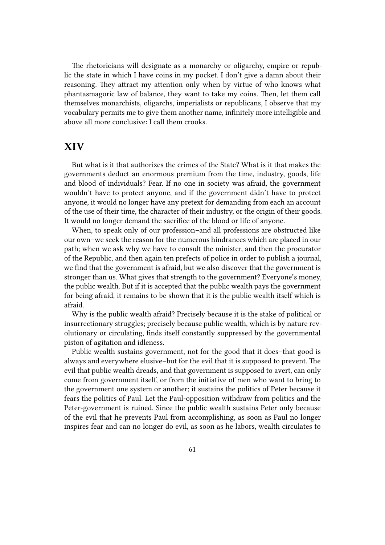The rhetoricians will designate as a monarchy or oligarchy, empire or republic the state in which I have coins in my pocket. I don't give a damn about their reasoning. They attract my attention only when by virtue of who knows what phantasmagoric law of balance, they want to take my coins. Then, let them call themselves monarchists, oligarchs, imperialists or republicans, I observe that my vocabulary permits me to give them another name, infinitely more intelligible and above all more conclusive: I call them crooks.

### **XIV**

But what is it that authorizes the crimes of the State? What is it that makes the governments deduct an enormous premium from the time, industry, goods, life and blood of individuals? Fear. If no one in society was afraid, the government wouldn't have to protect anyone, and if the government didn't have to protect anyone, it would no longer have any pretext for demanding from each an account of the use of their time, the character of their industry, or the origin of their goods. It would no longer demand the sacrifice of the blood or life of anyone.

When, to speak only of our profession–and all professions are obstructed like our own–we seek the reason for the numerous hindrances which are placed in our path; when we ask why we have to consult the minister, and then the procurator of the Republic, and then again ten prefects of police in order to publish a journal, we find that the government is afraid, but we also discover that the government is stronger than us. What gives that strength to the government? Everyone's money, the public wealth. But if it is accepted that the public wealth pays the government for being afraid, it remains to be shown that it is the public wealth itself which is afraid.

Why is the public wealth afraid? Precisely because it is the stake of political or insurrectionary struggles; precisely because public wealth, which is by nature revolutionary or circulating, finds itself constantly suppressed by the governmental piston of agitation and idleness.

Public wealth sustains government, not for the good that it does–that good is always and everywhere elusive–but for the evil that it is supposed to prevent. The evil that public wealth dreads, and that government is supposed to avert, can only come from government itself, or from the initiative of men who want to bring to the government one system or another; it sustains the politics of Peter because it fears the politics of Paul. Let the Paul-opposition withdraw from politics and the Peter-government is ruined. Since the public wealth sustains Peter only because of the evil that he prevents Paul from accomplishing, as soon as Paul no longer inspires fear and can no longer do evil, as soon as he labors, wealth circulates to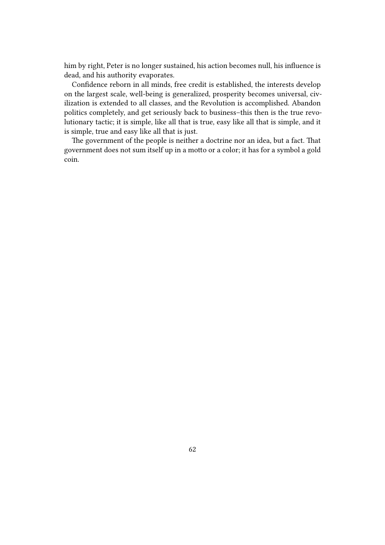him by right, Peter is no longer sustained, his action becomes null, his influence is dead, and his authority evaporates.

Confidence reborn in all minds, free credit is established, the interests develop on the largest scale, well-being is generalized, prosperity becomes universal, civilization is extended to all classes, and the Revolution is accomplished. Abandon politics completely, and get seriously back to business–this then is the true revolutionary tactic; it is simple, like all that is true, easy like all that is simple, and it is simple, true and easy like all that is just.

The government of the people is neither a doctrine nor an idea, but a fact. That government does not sum itself up in a motto or a color; it has for a symbol a gold coin.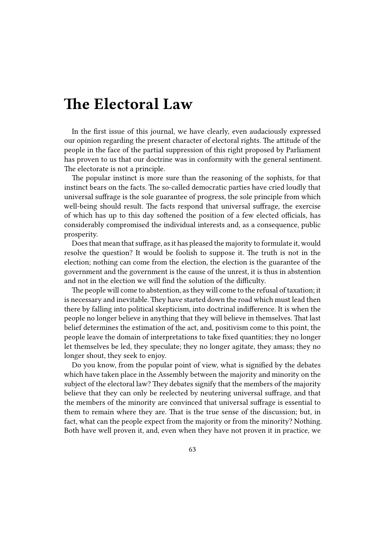### **The Electoral Law**

In the first issue of this journal, we have clearly, even audaciously expressed our opinion regarding the present character of electoral rights. The attitude of the people in the face of the partial suppression of this right proposed by Parliament has proven to us that our doctrine was in conformity with the general sentiment. The electorate is not a principle.

The popular instinct is more sure than the reasoning of the sophists, for that instinct bears on the facts. The so-called democratic parties have cried loudly that universal suffrage is the sole guarantee of progress, the sole principle from which well-being should result. The facts respond that universal suffrage, the exercise of which has up to this day softened the position of a few elected officials, has considerably compromised the individual interests and, as a consequence, public prosperity.

Does that mean that suffrage, as it has pleased the majority to formulate it, would resolve the question? It would be foolish to suppose it. The truth is not in the election; nothing can come from the election, the election is the guarantee of the government and the government is the cause of the unrest, it is thus in abstention and not in the election we will find the solution of the difficulty.

The people will come to abstention, as they will come to the refusal of taxation; it is necessary and inevitable. They have started down the road which must lead then there by falling into political skepticism, into doctrinal indifference. It is when the people no longer believe in anything that they will believe in themselves. That last belief determines the estimation of the act, and, positivism come to this point, the people leave the domain of interpretations to take fixed quantities; they no longer let themselves be led, they speculate; they no longer agitate, they amass; they no longer shout, they seek to enjoy.

Do you know, from the popular point of view, what is signified by the debates which have taken place in the Assembly between the majority and minority on the subject of the electoral law? They debates signify that the members of the majority believe that they can only be reelected by neutering universal suffrage, and that the members of the minority are convinced that universal suffrage is essential to them to remain where they are. That is the true sense of the discussion; but, in fact, what can the people expect from the majority or from the minority? Nothing. Both have well proven it, and, even when they have not proven it in practice, we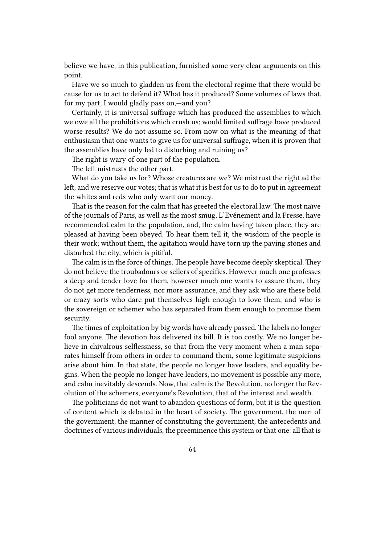believe we have, in this publication, furnished some very clear arguments on this point.

Have we so much to gladden us from the electoral regime that there would be cause for us to act to defend it? What has it produced? Some volumes of laws that, for my part, I would gladly pass on,—and you?

Certainly, it is universal suffrage which has produced the assemblies to which we owe all the prohibitions which crush us; would limited suffrage have produced worse results? We do not assume so. From now on what is the meaning of that enthusiasm that one wants to give us for universal suffrage, when it is proven that the assemblies have only led to disturbing and ruining us?

The right is wary of one part of the population.

The left mistrusts the other part.

What do you take us for? Whose creatures are we? We mistrust the right ad the left, and we reserve our votes; that is what it is best for us to do to put in agreement the whites and reds who only want our money.

That is the reason for the calm that has greeted the electoral law. The most naïve of the journals of Paris, as well as the most smug, L'Evénement and la Presse, have recommended calm to the population, and, the calm having taken place, they are pleased at having been obeyed. To hear them tell it, the wisdom of the people is their work; without them, the agitation would have torn up the paving stones and disturbed the city, which is pitiful.

The calm is in the force of things. The people have become deeply skeptical. They do not believe the troubadours or sellers of specifics. However much one professes a deep and tender love for them, however much one wants to assure them, they do not get more tenderness, nor more assurance, and they ask who are these bold or crazy sorts who dare put themselves high enough to love them, and who is the sovereign or schemer who has separated from them enough to promise them security.

The times of exploitation by big words have already passed. The labels no longer fool anyone. The devotion has delivered its bill. It is too costly. We no longer believe in chivalrous selflessness, so that from the very moment when a man separates himself from others in order to command them, some legitimate suspicions arise about him. In that state, the people no longer have leaders, and equality begins. When the people no longer have leaders, no movement is possible any more, and calm inevitably descends. Now, that calm is the Revolution, no longer the Revolution of the schemers, everyone's Revolution, that of the interest and wealth.

The politicians do not want to abandon questions of form, but it is the question of content which is debated in the heart of society. The government, the men of the government, the manner of constituting the government, the antecedents and doctrines of various individuals, the preeminence this system or that one: all that is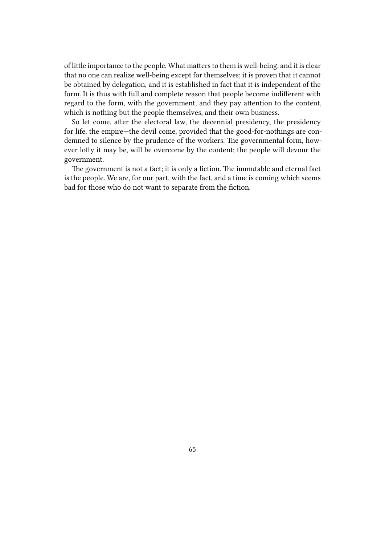of little importance to the people. What matters to them is well-being, and it is clear that no one can realize well-being except for themselves; it is proven that it cannot be obtained by delegation, and it is established in fact that it is independent of the form. It is thus with full and complete reason that people become indifferent with regard to the form, with the government, and they pay attention to the content, which is nothing but the people themselves, and their own business.

So let come, after the electoral law, the decennial presidency, the presidency for life, the empire—the devil come, provided that the good-for-nothings are condemned to silence by the prudence of the workers. The governmental form, however lofty it may be, will be overcome by the content; the people will devour the government.

The government is not a fact; it is only a fiction. The immutable and eternal fact is the people. We are, for our part, with the fact, and a time is coming which seems bad for those who do not want to separate from the fiction.